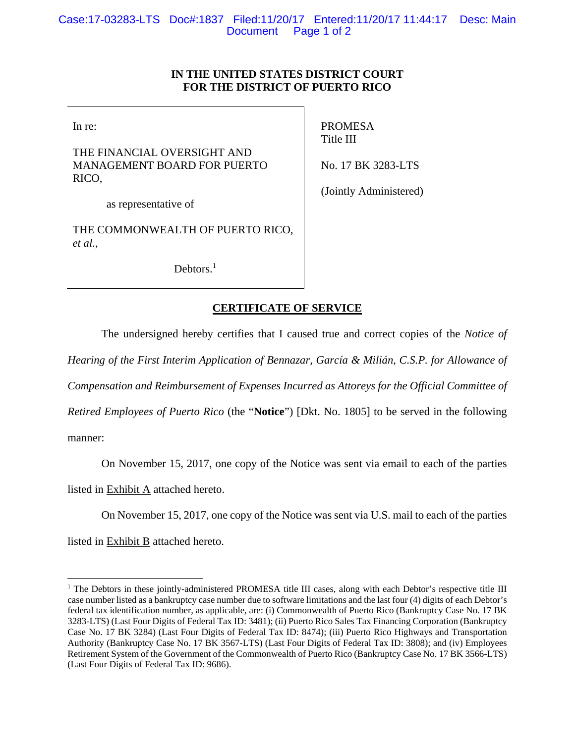#### **IN THE UNITED STATES DISTRICT COURT FOR THE DISTRICT OF PUERTO RICO**

In re:

THE FINANCIAL OVERSIGHT AND MANAGEMENT BOARD FOR PUERTO RICO,

PROMESA Title III

No. 17 BK 3283-LTS

(Jointly Administered)

as representative of

THE COMMONWEALTH OF PUERTO RICO, *et al.*,

Debtors.<sup>1</sup>

#### **CERTIFICATE OF SERVICE**

The undersigned hereby certifies that I caused true and correct copies of the *Notice of* 

*Hearing of the First Interim Application of Bennazar, García & Milián, C.S.P. for Allowance of* 

*Compensation and Reimbursement of Expenses Incurred as Attoreys for the Official Committee of* 

*Retired Employees of Puerto Rico* (the "**Notice**") [Dkt. No. 1805] to be served in the following

manner:

 $\overline{a}$ 

On November 15, 2017, one copy of the Notice was sent via email to each of the parties

listed in Exhibit  $\overline{A}$  attached hereto.

On November 15, 2017, one copy of the Notice was sent via U.S. mail to each of the parties

listed in Exhibit B attached hereto.

<sup>&</sup>lt;sup>1</sup> The Debtors in these jointly-administered PROMESA title III cases, along with each Debtor's respective title III case number listed as a bankruptcy case number due to software limitations and the last four (4) digits of each Debtor's federal tax identification number, as applicable, are: (i) Commonwealth of Puerto Rico (Bankruptcy Case No. 17 BK 3283-LTS) (Last Four Digits of Federal Tax ID: 3481); (ii) Puerto Rico Sales Tax Financing Corporation (Bankruptcy Case No. 17 BK 3284) (Last Four Digits of Federal Tax ID: 8474); (iii) Puerto Rico Highways and Transportation Authority (Bankruptcy Case No. 17 BK 3567-LTS) (Last Four Digits of Federal Tax ID: 3808); and (iv) Employees Retirement System of the Government of the Commonwealth of Puerto Rico (Bankruptcy Case No. 17 BK 3566-LTS) (Last Four Digits of Federal Tax ID: 9686).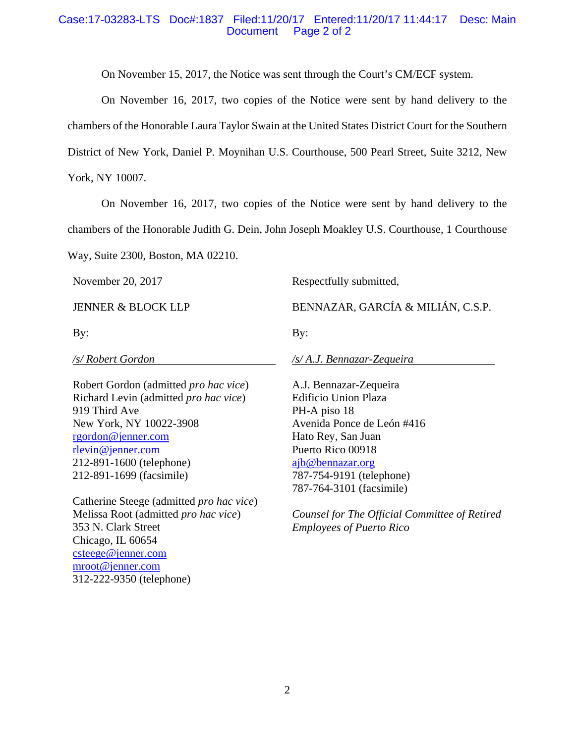#### Case:17-03283-LTS Doc#:1837 Filed:11/20/17 Entered:11/20/17 11:44:17 Desc: Main Document Page 2 of 2

On November 15, 2017, the Notice was sent through the Court's CM/ECF system.

 On November 16, 2017, two copies of the Notice were sent by hand delivery to the chambers of the Honorable Laura Taylor Swain at the United States District Court for the Southern District of New York, Daniel P. Moynihan U.S. Courthouse, 500 Pearl Street, Suite 3212, New York, NY 10007.

 On November 16, 2017, two copies of the Notice were sent by hand delivery to the chambers of the Honorable Judith G. Dein, John Joseph Moakley U.S. Courthouse, 1 Courthouse

Way, Suite 2300, Boston, MA 02210.

November 20, 2017

JENNER & BLOCK LLP

By:

*/s/ Robert Gordon* 

Robert Gordon (admitted *pro hac vice*) Richard Levin (admitted *pro hac vice*) 919 Third Ave New York, NY 10022-3908 rgordon@jenner.com rlevin@jenner.com 212-891-1600 (telephone) 212-891-1699 (facsimile)

Catherine Steege (admitted *pro hac vice*) Melissa Root (admitted *pro hac vice*) 353 N. Clark Street Chicago, IL 60654 csteege@jenner.com mroot@jenner.com 312-222-9350 (telephone)

Respectfully submitted,

BENNAZAR, GARCÍA & MILIÁN, C.S.P.

By:

*/s/ A.J. Bennazar-Zequeira* 

A.J. Bennazar-Zequeira Edificio Union Plaza PH-A piso 18 Avenida Ponce de León #416 Hato Rey, San Juan Puerto Rico 00918 ajb@bennazar.org 787-754-9191 (telephone) 787-764-3101 (facsimile)

*Counsel for The Official Committee of Retired Employees of Puerto Rico*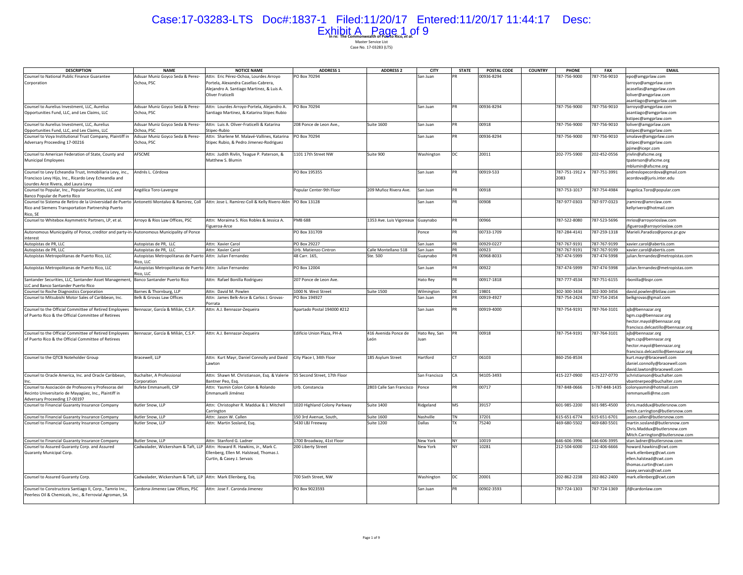# Case:17-03283-LTS Doc#:1837-1 Filed:11/20/17 Entered:11/20/17 11:44:17 Desc: Exhibit A Page 1 of 9

| <b>DESCRIPTION</b>                                                                                                                                                                      | <b>NAME</b>                                                   | <b>NOTICE NAME</b>                                                       | <b>ADDRESS 1</b>             | <b>ADDRESS 2</b>         | <b>CITY</b>   | <b>STATE</b> | POSTAL CODE | <b>COUNTRY</b> | <b>PHONE</b>   | <b>FAX</b>    | <b>EMAIL</b>                                              |
|-----------------------------------------------------------------------------------------------------------------------------------------------------------------------------------------|---------------------------------------------------------------|--------------------------------------------------------------------------|------------------------------|--------------------------|---------------|--------------|-------------|----------------|----------------|---------------|-----------------------------------------------------------|
| Counsel to National Public Finance Guarantee                                                                                                                                            | Adsuar Muniz Goyco Seda & Perez-                              | Attn: Eric Pérez-Ochoa, Lourdes Arroyo                                   | PO Box 70294                 |                          | San Juan      |              | 00936-8294  |                | 787-756-9000   | 787-756-9010  | epo@amgprlaw.com                                          |
| Corporation                                                                                                                                                                             | Ochoa, PSC                                                    | Portela, Alexandra Casellas-Cabrera,                                     |                              |                          |               |              |             |                |                |               | larroyo@amgprlaw.com                                      |
|                                                                                                                                                                                         |                                                               | Alejandro A. Santiago Martinez, & Luis A.                                |                              |                          |               |              |             |                |                |               | acasellas@amgprlaw.com                                    |
|                                                                                                                                                                                         |                                                               | Oliver Fraticelli                                                        |                              |                          |               |              |             |                |                |               | loliver@amgprlaw.com                                      |
|                                                                                                                                                                                         |                                                               |                                                                          |                              |                          |               |              |             |                |                |               | asantiago@amgprlaw.com                                    |
| Counsel to Aurelius Investment, LLC, Aurelius                                                                                                                                           | Adsuar Muniz Goyco Seda & Perez-                              | Attn: Lourdes Arroyo-Portela, Alejandro A.                               | PO Box 70294                 |                          | San Juan      | PR           | 00936-8294  |                | 787-756-9000   | 787-756-9010  | larroyo@amgprlaw.com                                      |
| Opportunities Fund, LLC, and Lex Claims, LLC                                                                                                                                            | Ochoa, PSC                                                    | Santiago Martinez, & Katarina Stipec Rubio                               |                              |                          |               |              |             |                |                |               | asantiago@amgprlaw.com                                    |
|                                                                                                                                                                                         |                                                               |                                                                          |                              |                          |               |              |             |                |                |               | kstipec@amgprlaw.com                                      |
| Counsel to Aurelius Investment, LLC, Aurelius                                                                                                                                           | Adsuar Muniz Goyco Seda & Perez-                              | Attn: Luis A. Oliver-Fraticelli & Katarina                               | 208 Ponce de Leon Ave.,      | <b>Suite 1600</b>        | San Juan      | <b>PR</b>    | 00918       |                | 787-756-9000   | 787-756-9010  | loliver@amgprlaw.com                                      |
| Opportunities Fund, LLC, and Lex Claims, LLC                                                                                                                                            | Ochoa, PSC                                                    | Stinec-Rubio                                                             |                              |                          |               |              |             |                |                |               | kstipec@amgprlaw.com                                      |
| Counsel to Voya Institutional Trust Company, Plaintiff in Adsuar Muniz Goyco Seda & Perez-                                                                                              |                                                               | Attn: Sharlene M. Malavé-Vallines, Katarina   PO Box 70294               |                              |                          | San Juan      | PR           | 00936-8294  |                | 787-756-9000   | 787-756-9010  | smalave@amgprlaw.com                                      |
| Adversary Proceeding 17-00216                                                                                                                                                           | Ochoa, PSC                                                    | Stipec Rubio, & Pedro Jimenez-Rodriguez                                  |                              |                          |               |              |             |                |                |               | kstipec@amgprlaw.com                                      |
|                                                                                                                                                                                         |                                                               |                                                                          |                              |                          |               |              |             |                |                |               | jime@icepr.com                                            |
| Counsel to American Federation of State, County and                                                                                                                                     | AFSCME                                                        | Attn: Judith Rivlin, Teague P. Paterson, &                               | 1101 17th Street NW          | Suite 900                | Washington    | DC           | 20011       |                | 202-775-5900   | 202-452-0556  | rivlin@afscme.org                                         |
| <b>Municipal Employees</b>                                                                                                                                                              |                                                               | Matthew S. Blumin                                                        |                              |                          |               |              |             |                |                |               | tpaterson@afscme.org                                      |
|                                                                                                                                                                                         |                                                               |                                                                          |                              |                          |               |              |             |                |                |               | mblumin@afscme.org                                        |
| Counsel to Levy Echeandia Trust, Inmobiliaria Levy, inc.,                                                                                                                               | Andrés L. Córdova                                             |                                                                          | PO Box 195355                |                          | San Juan      |              | 00919-533   |                | 787-751-1912 x | 787-751-3991  | andreslopecordova@gmail.com                               |
| Francisco Levy Hijo, Inc., Ricardo Levy Echeandia and                                                                                                                                   |                                                               |                                                                          |                              |                          |               |              |             |                | 2083           |               | acordova@juris.inter.edu                                  |
| Lourdes Arce Rivera, abd Laura Levy                                                                                                                                                     |                                                               |                                                                          |                              |                          |               | PR           |             |                |                |               |                                                           |
| Counsel to Popular, Inc., Popular Securities, LLC and                                                                                                                                   | Angélica Toro-Lavergne                                        |                                                                          | Popular Center-9th Floor     | 209 Muñoz Rivera Ave.    | San Juan      |              | 00918       |                | 787-753-1017   | 787-754-4984  | Angelica.Toro@popular.com                                 |
| Banco Popular de Puerto Rico<br>Counsel to Sistema de Retiro de la Universidad de Puerto Antonetti Montalvo & Ramirez, Coll Attn: Jose L. Ramirez-Coll & Kelly Rivero Alén PO Box 13128 |                                                               |                                                                          |                              |                          | San Juan      | PR           | 00908       |                | 787-977-0303   | 787-977-0323  | ramirez@amrclaw.com                                       |
| Rico and Siemens Transportation Partnership Puerto                                                                                                                                      |                                                               |                                                                          |                              |                          |               |              |             |                |                |               | kellyrivero@hotmail.com                                   |
| Rico, SE                                                                                                                                                                                |                                                               |                                                                          |                              |                          |               |              |             |                |                |               |                                                           |
| Counsel to Whitebox Asymmetric Partners, LP, et al.                                                                                                                                     | Arrovo & Rios Law Offices, PSC                                | Attn: Moraima S. Ríos Robles & Jessica A.                                | <b>PMB 688</b>               | 1353 Ave. Luis Vigoreaux | Guaynabo      | <b>PR</b>    | 00966       |                | 787-522-8080   | 787-523-5696  | mrios@arrovorioslaw.com                                   |
|                                                                                                                                                                                         |                                                               | Figueroa-Arce                                                            |                              |                          |               |              |             |                |                |               | figueroa@arroyorioslaw.com                                |
| Autonomous Municipality of Ponce, creditor and party-in-Autonomous Municipality of Ponce                                                                                                |                                                               |                                                                          | PO Box 331709                |                          | Ponce         | <b>PR</b>    | 00733-1709  |                | 787-284-4141   | 787-259-1318  | Marieli.Paradizo@ponce.pr.gov                             |
| interest                                                                                                                                                                                |                                                               |                                                                          |                              |                          |               |              |             |                |                |               |                                                           |
| Autopistas de PR, LLC                                                                                                                                                                   | Autopistas de PR. LLC                                         | Attn: Xavier Carol                                                       | PO Box 29227                 |                          | San Juan      | PR           | 00929-0227  |                | 787-767-9191   | 787-767-9199  | xavier.carol@abertis.com                                  |
| Autopistas de PR, LLC                                                                                                                                                                   | Autopistas de PR, LLC                                         | Attn: Xavier Carol                                                       | Urb. Matienzo Cintron        | Calle Montellano 518     | ian Juan      | PR           | 00923       |                | 787-767-9191   | 787-767-9199  | xavier.carol@abertis.com                                  |
| Autopistas Metropolitanas de Puerto Rico, LLC                                                                                                                                           | Autopistas Metropolitanas de Puerto Attn: Julian Fernandez    |                                                                          | 48 Carr. 165,                | Ste. 500                 | Guaynabo      |              | 00968-8033  |                | 787-474-5999   | 787-474-5998  | julian.fernandez@metropistas.com                          |
|                                                                                                                                                                                         | Rico, LLC                                                     |                                                                          |                              |                          |               |              |             |                |                |               |                                                           |
| Autopistas Metropolitanas de Puerto Rico, LLC                                                                                                                                           | Autopistas Metropolitanas de Puerto Attn: Julian Fernandez    |                                                                          | PO Box 12004                 |                          | San Juan      | PR           | 00922       |                | 787-474-5999   | 787-474-5998  | julian.fernandez@metropistas.com                          |
|                                                                                                                                                                                         | Rico, LLC                                                     |                                                                          |                              |                          |               |              |             |                |                |               |                                                           |
| Santander Securities, LLC, Santander Asset Management, Banco Santander Puerto Rico                                                                                                      |                                                               | Attn: Rafael Bonilla Rodriguez                                           | 207 Ponce de Leon Ave.       |                          | Hato Rey      | PR           | 00917-1818  |                | 787-777-4534   | 787-751-6155  | rbonilla@bspr.com                                         |
| LLC and Banco Santander Puerto Rico                                                                                                                                                     |                                                               |                                                                          |                              |                          |               |              |             |                |                |               |                                                           |
| Counsel to Roche Diagnostics Corporation                                                                                                                                                | Barnes & Thornburg, LLP                                       | Attn: David M. Powlen                                                    | 1000 N. West Street          | <b>Suite 1500</b>        | Wilmington    | DE           | 19801       |                | 302-300-3434   | 302-300-3456  | david.powlen@btlaw.com                                    |
| Counsel to Mitsubishi Motor Sales of Caribbean, Inc.                                                                                                                                    | Belk & Grovas Law Offices                                     | Attn: James Belk-Arce & Carlos J. Grovas-                                | PO Box 194927                |                          | San Juan      | PR           | 00919-4927  |                | 787-754-2424   | 787-754-2454  | belkgrovas@gmail.com                                      |
|                                                                                                                                                                                         |                                                               | Porrata                                                                  |                              |                          |               |              |             |                |                |               |                                                           |
| Counsel to the Official Committee of Retired Employees                                                                                                                                  | Bennazar, García & Milián, C.S.P.                             | Attn: A.J. Bennazar-Zequeira                                             | Apartado Postal 194000 #212  |                          | San Juan      | <b>PR</b>    | 00919-4000  |                | 787-754-9191   | 787-764-3101  | ajb@bennazar.org                                          |
| of Puerto Rico & the Official Committee of Retirees                                                                                                                                     |                                                               |                                                                          |                              |                          |               |              |             |                |                |               | bgm.csp@bennazar.org                                      |
|                                                                                                                                                                                         |                                                               |                                                                          |                              |                          |               |              |             |                |                |               | hector.mayol@bennazar.org                                 |
|                                                                                                                                                                                         |                                                               |                                                                          |                              |                          |               |              |             |                |                |               | francisco.delcastillo@bennazar.org                        |
| Counsel to the Official Committee of Retired Employees                                                                                                                                  | Bennazar, García & Milián, C.S.P.                             | Attn: A.J. Bennazar-Zequeira                                             | Edificio Union Plaza, PH-A   | 416 Avenida Ponce de     | Hato Rey, San |              | 00918       |                | 787-754-9191   | 787-764-3101  | ajb@bennazar.org                                          |
| of Puerto Rico & the Official Committee of Retirees                                                                                                                                     |                                                               |                                                                          |                              | León                     | luan          |              |             |                |                |               | bgm.csp@bennazar.org                                      |
|                                                                                                                                                                                         |                                                               |                                                                          |                              |                          |               |              |             |                |                |               | hector.mayol@bennazar.org                                 |
|                                                                                                                                                                                         |                                                               |                                                                          |                              |                          |               |              |             |                |                |               | francisco.delcastillo@bennazar.org                        |
| Counsel to the QTCB Noteholder Group                                                                                                                                                    | Bracewell, LLP                                                | Attn: Kurt Mayr, Daniel Connolly and David City Place I, 34th Floor      |                              | 185 Asylum Street        | Hartford      | <b>CT</b>    | 06103       |                | 860-256-8534   |               | kurt.mayr@bracewell.com                                   |
|                                                                                                                                                                                         |                                                               | Lawton                                                                   |                              |                          |               |              |             |                |                |               | daniel.connolly@bracewell.com                             |
| Counsel to Oracle America, Inc. and Oracle Caribbean,                                                                                                                                   | Buchalter, A Professional                                     | Attn: Shawn M. Christianson, Esq. & Valerie 55 Second Street, 17th Floor |                              |                          | San Francisco | CA           | 94105-3493  |                | 415-227-0900   | 415-227-0770  | david.lawton@bracewell.com<br>schristianson@buchalter.com |
|                                                                                                                                                                                         | Corporation                                                   | Bantner Peo, Esq.                                                        |                              |                          |               |              |             |                |                |               | vbantnerpeo@buchalter.com                                 |
| Counsel to Asociación de Profesores y Profesoras del                                                                                                                                    | Bufete Emmanuelli, CSP                                        | Attn: Yasmin Colon Colon & Rolando                                       | Urb. Constancia              | 2803 Calle San Francisco | Ponce         | <b>PR</b>    | 00717       |                | 787-848-0666   | -787-848-1435 | colonyasmin@hotmail.com                                   |
| Recinto Universitario de Mayagüez, Inc., Plaintiff in                                                                                                                                   |                                                               | Emmanuelli Jiménez                                                       |                              |                          |               |              |             |                |                |               | remmanuelli@me.com                                        |
| Adversary Proceeding 17-00197                                                                                                                                                           |                                                               |                                                                          |                              |                          |               |              |             |                |                |               |                                                           |
| Counsel to Financial Guaranty Insurance Company                                                                                                                                         | <b>Butler Snow, LLP</b>                                       | Attn: Christopher R. Maddux & J. Mitchell                                | 1020 Highland Colony Parkway | <b>Suite 1400</b>        | Ridgeland     | MS           | 39157       |                | 601-985-2200   | 601-985-4500  | chris.maddux@butlersnow.com                               |
|                                                                                                                                                                                         |                                                               | Carrington                                                               |                              |                          |               |              |             |                |                |               | mitch.carrington@butlersnow.com                           |
| Counsel to Financial Guaranty Insurance Company                                                                                                                                         | Butler Snow, LLP                                              | Attn: Jason W. Callen                                                    | 150 3rd Avenue, South,       | <b>Suite 1600</b>        | Nashville     | <b>TN</b>    | 37201       |                | 615-651-6774   | 615-651-6701  | jason.callen@butlersnow.com                               |
| Counsel to Financial Guaranty Insurance Company                                                                                                                                         | Butler Snow, LLP                                              | Attn: Martin Sosland, Esq.                                               | 5430 LBJ Freeway             | <b>Suite 1200</b>        | Dallas        | <b>TX</b>    | 75240       |                | 469-680-5502   | 469-680-5501  | martin.sosland@butlersnow.com                             |
|                                                                                                                                                                                         |                                                               |                                                                          |                              |                          |               |              |             |                |                |               | Chris.Maddux@butlersnow.com                               |
|                                                                                                                                                                                         |                                                               |                                                                          |                              |                          |               |              |             |                |                |               | Mitch.Carrington@butlersnow.com                           |
| Counsel to Financial Guaranty Insurance Company                                                                                                                                         | <b>Butler Snow, LLP</b>                                       | Attn: Stanford G. Ladner                                                 | 1700 Broadway, 41st Floor    |                          | New York      | NY.          | 10019       |                | 646-606-3996   | 646-606-3995  | stan.ladner@butlersnow.com                                |
| Counsel to Assured Guaranty Corp. and Assured                                                                                                                                           |                                                               | Cadwalader, Wickersham & Taft, LLP Attn: Howard R. Hawkins, Jr., Mark C. | 200 Liberty Street           |                          | New York      | NY           | 10281       |                | 212-504-6000   | 12-406-6666   | howard.hawkins@cwt.com                                    |
| Guaranty Municipal Corp.                                                                                                                                                                |                                                               | Ellenberg, Ellen M. Halstead, Thomas J.                                  |                              |                          |               |              |             |                |                |               | mark.ellenberg@cwt.com                                    |
|                                                                                                                                                                                         |                                                               | Curtin, & Casey J. Servais                                               |                              |                          |               |              |             |                |                |               | ellen.halstead@cwt.com                                    |
|                                                                                                                                                                                         |                                                               |                                                                          |                              |                          |               |              |             |                |                |               | thomas.curtin@cwt.com                                     |
|                                                                                                                                                                                         |                                                               |                                                                          |                              |                          |               |              |             |                |                |               | casey.servais@cwt.com                                     |
| Counsel to Assured Guaranty Corp.                                                                                                                                                       | Cadwalader, Wickersham & Taft, LLP Attn: Mark Ellenberg, Esq. |                                                                          | 700 Sixth Street, NW         |                          | Washington    | <b>IDC</b>   | 20001       |                | 202-862-2238   | 202-862-2400  | mark.ellenberg@cwt.com                                    |
|                                                                                                                                                                                         |                                                               |                                                                          |                              |                          |               |              |             |                |                |               |                                                           |
| Counsel to Constructora Santiago II, Corp., Tamrio Inc.,                                                                                                                                | Cardona-Jimenez Law Offices, PSC                              | Attn: Jose F. Caronda Jimenez                                            | PO Box 9023593               |                          | San Juan      |              | 00902-3593  |                | 787-724-1303   | 787-724-1369  | if@cardonlaw.com                                          |
| Peerless Oil & Chemicals, Inc., & Ferrovial Agroman, SA                                                                                                                                 |                                                               |                                                                          |                              |                          |               |              |             |                |                |               |                                                           |
|                                                                                                                                                                                         |                                                               |                                                                          |                              |                          |               |              |             |                |                |               |                                                           |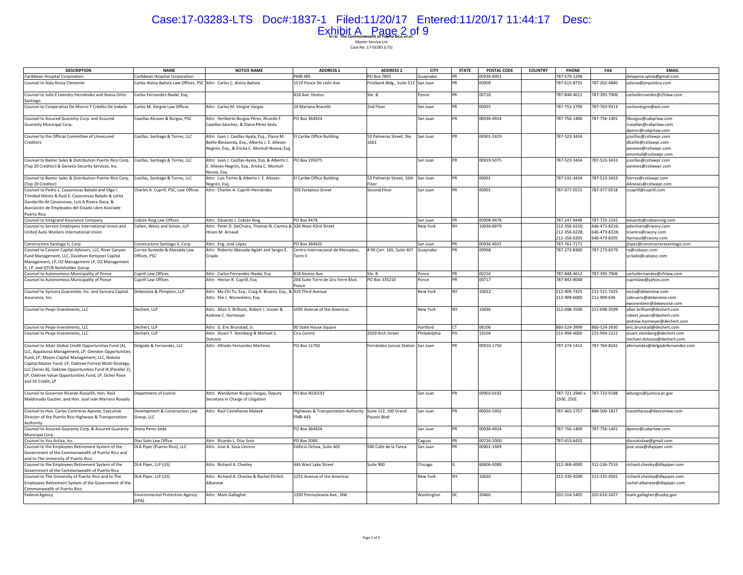# Case:17-03283-LTS Doc#:1837-1 Filed:11/20/17 Entered:11/20/17 11:44:17 Desc: Exhibit A Page 2 of 9

| <b>DESCRIPTION</b>                                                                                                                                                                                                                                                                                                                                                         | <b>NAME</b>                                                           | <b>NOTICE NAME</b>                                                                                           | <b>ADDRESS 1</b>                                                    | <b>ADDRESS 2</b>                           | <b>CITY</b>  | <b>STATE</b>    | POSTAL CODE | <b>COUNTRY</b> | PHONE                                      | <b>FAX</b>    | <b>EMAIL</b>                                                 |
|----------------------------------------------------------------------------------------------------------------------------------------------------------------------------------------------------------------------------------------------------------------------------------------------------------------------------------------------------------------------------|-----------------------------------------------------------------------|--------------------------------------------------------------------------------------------------------------|---------------------------------------------------------------------|--------------------------------------------|--------------|-----------------|-------------|----------------|--------------------------------------------|---------------|--------------------------------------------------------------|
| Caribbean Hospital Corporation                                                                                                                                                                                                                                                                                                                                             | Caribbean Hospital Corporation                                        |                                                                                                              | <b>PMB 485</b>                                                      | PO Box 7891                                | Guaynabo     | PR              | 00936-6001  |                | 787-579-1208                               |               | delapena.sylvia@gmail.com                                    |
| Counsel to Aida Rossy Clemente                                                                                                                                                                                                                                                                                                                                             | Carlos Alsina Batista Law Offices, PSC Attn: Carlos C. Alsina Batista |                                                                                                              | 1519 Ponce De León Ave.                                             | Firstbank Bldg., Suite 513 San Juan        |              | PR              | 00909       |                | 787-615-8733                               | 787-202-4880  | calsina@prquiebra.com                                        |
| Counsel to Julio E Leandry-Hernández and Ileana Ortiz-<br>Santiago                                                                                                                                                                                                                                                                                                         | Carlos Fernandez-Nadal, Esq.                                          |                                                                                                              | 818 Ave. Hostos                                                     | Ste. B                                     | Ponce        | <b>PR</b>       | 00716       |                | 787-848-4612                               | 787-395-7906  | carlosfernandez@cfnlaw.com                                   |
| Counsel to Cooperativa De Ahorro Y Crédito De Isabela                                                                                                                                                                                                                                                                                                                      | Carlos M. Vergne Law Offices                                          | Attn: Carlos M. Vergne Vargas                                                                                | 24 Mariana Bracetti                                                 | 2nd Floor                                  | San Juan     | <b>PR</b>       | 00925       |                | 787-753-3799                               | 787-763-9313  | carlosvergne@aol.com                                         |
| Counsel to Assured Guaranty Corp. and Assured                                                                                                                                                                                                                                                                                                                              | Casellas Alcover & Burgos, PSC                                        | Attn: Heriberto Burgos Pérez, Ricardo F.                                                                     | PO Box 364924                                                       |                                            | San Juan     | PR              | 00936-4924  |                | 787-756-1400                               | 787-756-1401  | hburgos@cabprlaw.com                                         |
| Guaranty Municipal Corp.                                                                                                                                                                                                                                                                                                                                                   |                                                                       | Casellas-Sánchez, & Diana Pérez-Seda                                                                         |                                                                     |                                            |              |                 |             |                |                                            |               | casellas@cabprlaw.com<br>dperez@cabprlaw.com                 |
| Counsel to the Official Committee of Unsecured                                                                                                                                                                                                                                                                                                                             | Casillas, Santiago & Torres, LLC                                      | Attn: Juan J. Casillas Ayala, Esq., Diana M.                                                                 | El Caribe Office Building                                           | 53 Palmeras Street, Ste.                   | San Juan     | PR              | 00901-2419  |                | 787-523-3434                               |               | casillas@cstlawpr.com                                        |
| Creditors                                                                                                                                                                                                                                                                                                                                                                  |                                                                       | Batlle-Barasorda, Esq., Alberto J. E. Añeses<br>Negrón, Esq., & Ericka C. Montull-Novoa, Esq.                |                                                                     | 1601                                       |              |                 |             |                |                                            |               | dbatlle@cstlawpr.com<br>aaneses@cstlawpr.com                 |
|                                                                                                                                                                                                                                                                                                                                                                            |                                                                       |                                                                                                              | PO Box 195075                                                       |                                            |              | PR              |             |                | 787-523-3434                               | 787-523-3433  | emontull@cstlawpr.com                                        |
| Counsel to Baxter Sales & Distribution Puerto Rico Corp.<br>(Top 20 Creditor) & Genesis Security Services, Inc.                                                                                                                                                                                                                                                            | Casillas, Santiago & Torres, LLC                                      | Attn: Juan J. Casillas-Ayala, Esq. & Alberto J.<br>E. Añeses-Negrón, Esq., Ericka C. Montull-<br>Novoa, Esg. |                                                                     |                                            | San Juan     |                 | 00919-5075  |                |                                            |               | jcasillas@cstlawpr.com<br>aaneses@cstlawpr.com               |
| Counsel to Baxter Sales & Distribution Puerto Rico Corp.<br>(Top 20 Creditor)                                                                                                                                                                                                                                                                                              | Casillas, Santiago & Torres, LLC                                      | Attn: Luis Torres & Alberto J. E. Añeses-<br>Negrón, Esq.                                                    | El Caribe Office Building                                           | 53 Palmeras Street, 16th San Juan<br>Floor |              | PR              | 00901       |                | 787-532-3434                               | 787-523-3433  | ltorres@cstlawpr.com<br>AAneses@cstlawpr.com                 |
| Counsel to Pedro L. Casasnovas Balado and Olga I.                                                                                                                                                                                                                                                                                                                          | Charles A. Cuprill, PSC, Law Offices                                  | Attn: Charles A. Cuprill-Hernández                                                                           | 356 Fortaleza Street                                                | Second Floor                               | San Juan     | PR              | 00901       |                | 787-977-0515                               | 787-977-0518  | ccuprill@cuprill.com                                         |
| Trinidad Nieves & Raúl E. Casasnovas Balado & Lolita<br>Gandarilla de Casasnovas, Luis A Rivera Siaca, &<br>Asociación de Empleados del Estado Libre Asociade<br>Puerto Rico                                                                                                                                                                                               |                                                                       |                                                                                                              |                                                                     |                                            |              |                 |             |                |                                            |               |                                                              |
| Counsel to Integrand Assurance Company                                                                                                                                                                                                                                                                                                                                     | Cobián Roig Law Offices                                               | Attn: Eduardo J. Cobián Roig                                                                                 | PO Box 9478                                                         |                                            | San Juan     | PR              | 00908-9478  |                | 787-247-9448                               | 787-725-1542  | eduardo@cobianroig.com                                       |
| Counsel to Service Employees International Union and                                                                                                                                                                                                                                                                                                                       | Cohen, Weiss and Simon, LLP                                           | Attn: Peter D. DeChiara, Thomas N. Ciantra & 330 West 42nd Street                                            |                                                                     |                                            | New York     | <b>NY</b>       | 10036-6979  |                | 212-356-0216;                              | 646-473-8216; | pdechiara@cwsny.com                                          |
| United Auto Workers International Union                                                                                                                                                                                                                                                                                                                                    |                                                                       | Hiram M. Arnaud                                                                                              |                                                                     |                                            |              |                 |             |                | 212-356-0228;                              | 646-473-8228; | tciantra@cwsny.com                                           |
|                                                                                                                                                                                                                                                                                                                                                                            |                                                                       |                                                                                                              |                                                                     |                                            |              |                 |             |                | 212-356-0205                               | 646-473-8205  | Harnaud@cwsny.com                                            |
| Constructora Santiago II, Corp.                                                                                                                                                                                                                                                                                                                                            | Constructora Santiago II, Corp.                                       | Attn: Eng. José López                                                                                        | PO Box 364925                                                       |                                            | San Juan     | PR              | 00936-4925  |                | 787-761-7171                               |               | lopez@constructorasantiago.com                               |
| Counsel to Canyon Capital Advisors, LLC, River Canyon                                                                                                                                                                                                                                                                                                                      | Correa Acevedo & Abesada Law                                          | Attn: Roberto Abesada-Agüet and Sergio E.                                                                    | Centro Internacional de Mercadeo,                                   | # 90 Carr. 165, Suite 407                  | Guaynabo     | PR              | 00968       |                | 787-273-8300                               | 787-273-8379  | ra@calopsc.com                                               |
| Fund Management, LLC, Davidson Kempner Capital                                                                                                                                                                                                                                                                                                                             | Offices, PSC                                                          | Criado                                                                                                       | Torre II                                                            |                                            |              |                 |             |                |                                            |               | scriado@calopsc.com                                          |
| Management, LP, OZ Management LP, OZ Management<br>II, LP, and QTCB Noteholder Gorup                                                                                                                                                                                                                                                                                       |                                                                       |                                                                                                              |                                                                     |                                            |              |                 |             |                |                                            |               |                                                              |
| Counsel to Autonomous Municipality of Ponce                                                                                                                                                                                                                                                                                                                                | Cuprill Law Offices                                                   | Attn: Carlos Fernandez-Nadal, Esq                                                                            | 818 Hostos Ave.                                                     | Ste. B                                     | Ponce        | PR              | 00716       |                | 787-848-4612                               | 787-395-7906  | carlosfernandez@cfnlaw.com                                   |
| Counsel to Autonomous Municipality of Ponce                                                                                                                                                                                                                                                                                                                                | Cuprill Law Offices                                                   | Attn: Hector R. Cuprill, Esq                                                                                 | 204 Suite Torre de Oro Ferre Blvd<br>Ponce                          | PO Box 335210                              | Ponce        | <b>PR</b>       | 00717       |                | 787-843-8048                               |               | cuprislaw@yahoo.com                                          |
| Counsel to Syncora Guarantee, Inc. and Syncora Capital                                                                                                                                                                                                                                                                                                                     | Debevoise & Plimpton, LLP                                             | Attn: My Chi To, Esq., Craig A. Bruens, Esq., & 919 Third Avenue                                             |                                                                     |                                            | New York     | NY              | 10022       |                | 212-909-7425                               | 212-521-7425  | mcto@debevoise.com                                           |
| Assurance, Inc.                                                                                                                                                                                                                                                                                                                                                            |                                                                       | Attn: Elie J. Worenklein, Esg.                                                                               |                                                                     |                                            |              |                 |             |                | 212-909-6000                               | 212-909-636   | cabruens@debevoise.com<br>eworenklein@debevoise.com          |
| Counsel to Peaje Investments, LLC                                                                                                                                                                                                                                                                                                                                          | Dechert, LLP                                                          | Attn: Allan S. Brilliant, Robert J. Jossen &<br>Andrew C. Harmeyer                                           | 1095 Avenue of the Americas                                         |                                            | New York     | <b>NY</b>       | 10036       |                | 212-698-3500                               | 212-698-3599  | allan.brilliant@dechert.com<br>robert.jossen@dechert.com     |
|                                                                                                                                                                                                                                                                                                                                                                            |                                                                       |                                                                                                              |                                                                     |                                            |              |                 |             |                |                                            |               | andrew.harmeyer@dechert.com                                  |
| Counsel to Peaje Investments, LLC                                                                                                                                                                                                                                                                                                                                          | Dechert, LLP                                                          | Attn: G. Eric Brunstad, Jr.                                                                                  | 90 State House Square                                               |                                            | Hartford     | <b>CT</b><br>PΔ | 06106       |                | 860-524-3999                               | 860-524-3930  | eric.brunstad@dechert.com                                    |
| Counsel to Peaje Investments, LLC                                                                                                                                                                                                                                                                                                                                          | Dechert, LLP                                                          | Attn: Stuart T. Steinberg & Michael S.<br>Doluisio                                                           | Cira Centre                                                         | 2929 Arch Street                           | Philadelphia |                 | 19104       |                | 215-994-4000                               | 215-994-2222  | stuart.steinberg@dechert.com<br>michael.doluisio@dechert.com |
| Counsel to Altair Global Credit Opportunities Fund (A),<br>LLC, Appaloosa Management, LP, Glendon Opportunities<br>Fund, LP, Mason Capital Management, LLC, Nokota<br>Capital Master Fund, LP, Oaktree-Forrest Multi-Strategy,<br>LLC (Series B), Oaktree Opportunities Fund IX (Parallel 2),<br>LP, Oaktree Value Opportunities Fund, LP, Ocher Rose<br>and SV Credit, LP | Delgado & Fernandez, LLC                                              | Attn: Alfredo Fernandez Martinez                                                                             | PO Box 11750                                                        | Fernández Juncos Station San Juan          |              | PR              | 00910-1750  |                | 787-274-1414                               | 787-764-8241  | afernandez@delgadofernandez.com                              |
| Counsel to Governor Ricardo Rosselló, Hon, Raúl<br>Maldonado Gautier, and Hon. José Iván Marrero Rosado                                                                                                                                                                                                                                                                    | Department of Justice                                                 | Attn: Wandymar Burgos Vargas, Deputy<br>Secretary in Charge of Litigation                                    | PO Box 9020192                                                      |                                            | San Juan     | PR              | 00902-0192  |                | 787-721-2940 x. 787-723-9188<br>2500, 2501 |               | wburgos@justicia.pr.gov                                      |
| Counsel to Hon. Carlos Contreras Aponte, Executive<br>Director of the Puerto Rico Highways & Transportation<br>Authority                                                                                                                                                                                                                                                   | Development & Construction Law<br>Group, LLC                          | Attn: Raúl Castellanos Malavé                                                                                | Highways & Transportation Authority Suite 112, 100 Grand<br>PMB 443 | Paseos Blvd                                | San Juan     | PR              | 00926-5902  |                | 787-403-2757                               | 888-500-1827  | rcastellanos@devconlaw.com                                   |
| Counsel to Assured Guaranty Corp. & Assured Guaranty<br>Municipal Corp.                                                                                                                                                                                                                                                                                                    | Diana Perez Seda                                                      |                                                                                                              | PO Box 364924                                                       |                                            | San Juan     | PR              | 00936-4924  |                | 787-756-1400                               | 787-756-1401  | dperez@cabprlaw.com                                          |
| Counsel to Voz Activa, Inc.                                                                                                                                                                                                                                                                                                                                                | Diaz Soto Law Office                                                  | Attn: Ricardo L. Díaz Soto                                                                                   | PO Box 2000                                                         |                                            | Caguas       | PR              | 00726-2000  |                | 787-653-4432                               |               | diazsotolaw@gmail.com                                        |
| Counsel to the Employees Retirement System of the<br>Government of the Commonwealth of Puerto Rico and                                                                                                                                                                                                                                                                     | DLA Piper (Puerto Rico), LLC                                          | Attn: Jose A. Sosa-Llorens                                                                                   | Edificio Ochoa, Suite 401                                           | 500 Calle de la Tanca                      | San Juan     | DR              | 00901-1969  |                |                                            |               | jose.sosa@dlapiper.com                                       |
| and to The University of Puerto Rico<br>Counsel to the Employees Retirement System of the                                                                                                                                                                                                                                                                                  | DLA Piper, LLP (US)                                                   | Attn: Richard A. Chesley                                                                                     | 444 West Lake Street                                                | Suite 900                                  | Chicago      |                 | 60606-0089  |                | 312-368-4000                               | 312-236-7516  | richard.chesley@dlapiper.com                                 |
| Government of the Commonwealth of Puerto Rico<br>Counsel to The University of Puerto Rico and to The                                                                                                                                                                                                                                                                       | DLA Piper, LLP (US)                                                   | Attn: Richard A. Chesley & Rachel Ehrlich                                                                    | 1251 Avenue of the Americas                                         |                                            | New York     | NY              | 10020       |                | 212-335-4500                               | 212-335-4501  | richard.chesley@dlapiper.com                                 |
| Employees Retirement System of the Government of the<br>Commonwealth of Puerto Rico                                                                                                                                                                                                                                                                                        |                                                                       | Albanese                                                                                                     |                                                                     |                                            |              |                 |             |                |                                            |               | rachel.albanese@dlapiper.com                                 |
| Federal Agency                                                                                                                                                                                                                                                                                                                                                             | <b>Environmental Protection Agency</b><br>(FPA)                       | Attn: Mark Gallagher                                                                                         | 1200 Pennsylvania Ave., NW                                          |                                            | Washington   | DC              | 20460       |                | 202-514-5405                               | 202-616-2427  | mark.gallagher@usdoj.gov                                     |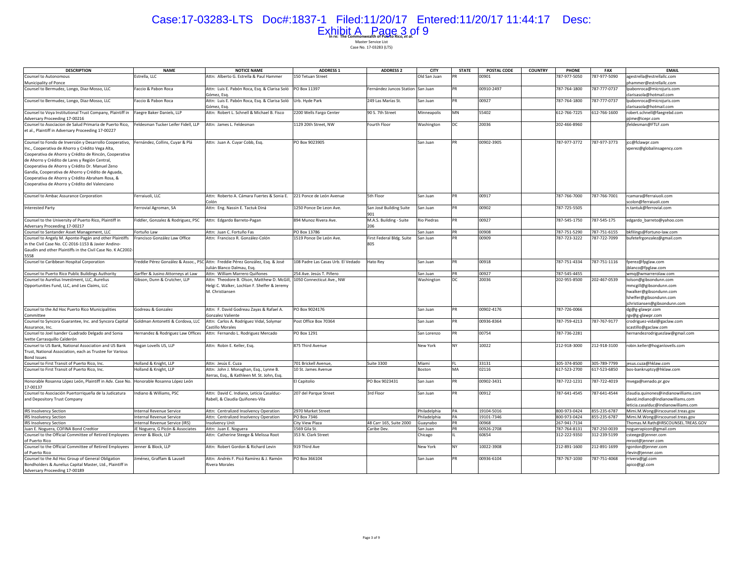# Case:17-03283-LTS Doc#:1837-1 Filed:11/20/17 Entered:11/20/17 11:44:17 Desc: Exhibit A Page 3 of 9

| <b>DESCRIPTION</b>                                                                                                                                                                                                                                                                                                                                                                  | <b>NAME</b>                         | <b>NOTICE NAME</b>                                                                                             | <b>ADDRESS 1</b>                   | <b>ADDRESS 2</b>                  | <b>CITY</b>  | <b>STATE</b> | POSTAL CODE | <b>COUNTRY</b> | PHONE        | <b>FAX</b>   | <b>EMAIL</b>                                                                                                                         |
|-------------------------------------------------------------------------------------------------------------------------------------------------------------------------------------------------------------------------------------------------------------------------------------------------------------------------------------------------------------------------------------|-------------------------------------|----------------------------------------------------------------------------------------------------------------|------------------------------------|-----------------------------------|--------------|--------------|-------------|----------------|--------------|--------------|--------------------------------------------------------------------------------------------------------------------------------------|
| Counsel to Autonomous                                                                                                                                                                                                                                                                                                                                                               | Estrella, LLC                       | Attn: Alberto G. Estrella & Paul Hammer                                                                        | 150 Tetuan Street                  |                                   | Old San Juan | <b>PR</b>    | 00901       |                | 787-977-5050 | 787-977-5090 | agestrella@estrellallc.com                                                                                                           |
| Municipality of Ponce                                                                                                                                                                                                                                                                                                                                                               |                                     |                                                                                                                |                                    |                                   |              |              |             |                |              |              | ohammer@estrellallc.com                                                                                                              |
| Counsel to Bermudez, Longo, Diaz-Mosso, LLC                                                                                                                                                                                                                                                                                                                                         | Faccio & Pabon Roca                 | Attn: Luis E. Pabón Roca, Esg. & Clarisa Soló<br>Gómez, Esq.                                                   | PO Box 11397                       | Fernández Juncos Station San Juan |              | <b>PR</b>    | 00910-2497  |                | 787-764-1800 | 787-777-0737 | lpabonroca@microjuris.com<br>clarisasola@hotmail.com                                                                                 |
| Counsel to Bermudez, Longo, Diaz-Mosso, LLC                                                                                                                                                                                                                                                                                                                                         | Faccio & Pabon Roca                 | Attn: Luis E. Pabón Roca, Esq. & Clarisa Soló<br>Gómez, Esg.                                                   | Urb. Hyde Park                     | 249 Las Marías St.                | San Juan     | PR           | 00927       |                | 787-764-1800 | 787-777-0737 | lpabonroca@microjuris.com<br>clarisasola@hotmail.com                                                                                 |
| Counsel to Voya Institutional Trust Company, Plaintiff in                                                                                                                                                                                                                                                                                                                           | Faegre Baker Daniels, LLP           | Attn: Robert L. Schnell & Michael B. Fisco                                                                     | 2200 Wells Fargo Center            | 90 S. 7th Street                  | Minneapolis  | MN           | 55402       |                | 612-766-7225 | 612-766-1600 | robert.schnell@faegrebd.com                                                                                                          |
| Adversary Proceeding 17-00216                                                                                                                                                                                                                                                                                                                                                       |                                     |                                                                                                                |                                    |                                   |              |              |             |                |              |              | pjime@icepr.com                                                                                                                      |
| Counsel to Asociacion de Salud Primaria de Puerto Rico,<br>et al., Plaintiff in Adversary Proceeding 17-00227                                                                                                                                                                                                                                                                       | Feldesman Tucker Leifer Fidell, LLP | Attn: James L. Feldesman                                                                                       | 1129 20th Street, NW               | Fourth Floor                      | Washington   | DC           | 20036       |                | 202-466-8960 |              | ifeldesman@FTLF.com                                                                                                                  |
| Counsel to Fondo de Inversión y Desarrollo Cooperativo,<br>Inc., Cooperativa de Ahorro y Crédito Vega Alta,<br>Cooperativa de Ahorro y Crédito de Rincón, Cooperativa<br>de Ahorro y Crédito de Lares y Región Central,<br>Cooperativa de Ahorro y Crédito Dr. Manuel Zeno<br>Gandía, Cooperativa de Ahorro y Crédito de Aguada,<br>Cooperativa de Ahorro y Crédito Abraham Rosa, & | Fernández, Collins, Cuyar & Plá     | Attn: Juan A. Cuyar Cobb, Esq.                                                                                 | PO Box 9023905                     |                                   | San Juan     | <b>PR</b>    | 00902-3905  |                | 787-977-3772 | 787-977-3773 | jcc@fclawpr.com<br>vperez@globalinsagency.com                                                                                        |
| Cooperativa de Ahorro y Crédito del Valenciano<br>Counsel to Ambac Assurance Corporation                                                                                                                                                                                                                                                                                            | Ferraiuoli, LLC                     | Attn: Roberto A. Cámara Fuertes & Sonia E.                                                                     | 221 Ponce de León Avenue           | 5th Floor                         | San Juan     | PR           | 00917       |                | 787-766-7000 | 787-766-7001 | rcamara@ferraiuoli.com                                                                                                               |
|                                                                                                                                                                                                                                                                                                                                                                                     |                                     | Colón                                                                                                          |                                    |                                   |              |              |             |                |              |              | scolon@ferraiuoli.com                                                                                                                |
| <b>Interested Party</b>                                                                                                                                                                                                                                                                                                                                                             | errovial Agroman, SA                | Attn: Eng. Nassin E. Tactuk Diná                                                                               | 1250 Ponce De Leon Ave.            | San José Building Suite<br>901    | San Juan     | PR           | 00902       |                | 787-725-5505 |              | n.tantuk@ferrovial.com                                                                                                               |
| Counsel to the University of Puerto Rico, Plaintiff in<br>Adversary Proceeding 17-00217                                                                                                                                                                                                                                                                                             | Fiddler, Gonzalez & Rodriguez, PSC  | Attn: Edgardo Barreto-Pagan                                                                                    | 894 Munoz Rivera Ave.              | M.A.S. Building - Suite<br>206    | Rio Piedras  | PR           | 00927       |                | 787-545-1750 | 787-545-175  | edgardo_barreto@yahoo.com                                                                                                            |
| Counsel to Santander Asset Management, LLC                                                                                                                                                                                                                                                                                                                                          | ortuño Law                          | Attn: Juan C. Fortuño Fas                                                                                      | PO Box 13786                       |                                   | San Juan     | PR           | 00908       |                | 787-751-5290 | 787-751-6155 | bkfilings@fortuno-law.com                                                                                                            |
| Counsel to Angely M. Aponte-Pagán and other Plaintiffs<br>in the Civil Case No. CC-2016-1153 & Javier Andino-<br>Gaudín and other Plaintiffs in the Civil Case No. K AC2002-                                                                                                                                                                                                        | rancisco González Law Office        | Attn: Francisco R. González-Colón                                                                              | 1519 Ponce De León Ave.            | First Federal Bldg. Suite<br>805  | San Juan     | PR           | 00909       |                | 787-723-3222 | 787-722-7099 | bufetefrgonzalez@gmail.com                                                                                                           |
| 5558                                                                                                                                                                                                                                                                                                                                                                                |                                     |                                                                                                                |                                    |                                   |              |              |             |                |              |              |                                                                                                                                      |
| Counsel to Caribbean Hospital Corporation                                                                                                                                                                                                                                                                                                                                           |                                     | reddie Pérez González & Assoc., PSC Attn: Freddie Pérez González, Esq. & José<br>Julián Blanco Dalmau, Esg.    | 108 Padre Las Casas Urb. El Vedado | Hato Rey                          | San Juan     | PR           | 00918       |                | 787-751-4334 | 787-751-1116 | fperez@fpglaw.com<br>jblanco@fpglaw.com                                                                                              |
| Counsel to Puerto Rico Public Buildings Authority                                                                                                                                                                                                                                                                                                                                   | Garffer & Jusino Attorneys at Law   | Attn: William Marrero Quiñones                                                                                 | 254 Ave. Jesús T. Piñero           |                                   | San Juan     | PR           | 00927       |                | 787-545-4455 |              | wmg@wmarrerolaw.com                                                                                                                  |
| Counsel to Aurelius Investment, LLC, Aurelius<br>Opportunities Fund, LLC, and Lex Claims, LLC                                                                                                                                                                                                                                                                                       | Gibson, Dunn & Crutcher, LLP        | Attn: Theodore B. Olson, Matthew D. McGill,<br>Helgi C. Walker, Lochlan F. Shelfer & Jeremy<br>M. Christiansen | 1050 Connecticut Ave., NW          |                                   | Washington   | DC           | 20036       |                | 202-955-8500 | 202-467-0539 | tolson@gibsondunn.com<br>mmcgill@gibsondunn.com<br>hwalker@gibsondunn.com<br>Ishelfer@gibsondunn.com<br>jchristiansen@gibsondunn.com |
| Counsel to the Ad Hoc Puerto Rico Municipalities<br>Committee                                                                                                                                                                                                                                                                                                                       | Godreau & Gonzalez                  | Attn: F. David Godreau Zayas & Rafael A.<br><b>Sonzalez Valiente</b>                                           | PO Box 9024176                     |                                   | San Juan     | PR           | 00902-4176  |                | 787-726-0066 |              | dg@g-glawpr.com<br>rgv@g-glawpr.com                                                                                                  |
| Counsel to Syncora Guarantee, Inc. and Syncora Capital<br>Assurance, Inc.                                                                                                                                                                                                                                                                                                           | Goldman Antonetti & Cordova, LLC    | Attn: Carlos A. Rodríguez Vidal, Solymar<br>Castillo Morales                                                   | Post Office Box 70364              |                                   | San Juan     | PR           | 00936-8364  |                | 787-759-4213 | 787-767-9177 | crodriguez-vidal@gaclaw.com<br>scastillo@gaclaw.com                                                                                  |
| Counsel to Joel Isander Cuadrado Delgado and Sonia<br>Ivette Carrasquillo Calderón                                                                                                                                                                                                                                                                                                  | Hernandez & Rodriguez Law Offices   | Attn: Fernando L. Rodriguez Mercado                                                                            | PO Box 1291                        |                                   | San Lorenzo  | PR           | 00754       |                | 787-736-2281 |              | hernandezrodriguezlaw@gmail.com                                                                                                      |
| Counsel to US Bank, National Association and US Bank<br>Trust, National Association, each as Trustee for Various<br><b>Bond Issues</b>                                                                                                                                                                                                                                              | logan Lovells US, LLP               | Attn: Robin E. Keller, Esg.                                                                                    | 875 Third Avenue                   |                                   | New York     | <b>NY</b>    | 10022       |                | 212-918-3000 | 212-918-3100 | robin.keller@hoganlovells.com                                                                                                        |
| Counsel to First Transit of Puerto Rico, Inc.                                                                                                                                                                                                                                                                                                                                       | Holland & Knight, LLP               | Attn: Jesús E. Cuza                                                                                            | 701 Brickell Avenue,               | <b>Suite 3300</b>                 | Miami        | FL.          | 33131       |                | 305-374-8500 | 305-789-7799 | jesus.cuza@hklaw.com                                                                                                                 |
| Counsel to First Transit of Puerto Rico, Inc.                                                                                                                                                                                                                                                                                                                                       | Holland & Knight, LLP               | Attn: John J. Monaghan, Esq., Lynne B.<br>Xerras, Esg., & Kathleen M. St. John, Esg.                           | 10 St. James Avenue                |                                   | Boston       | MA           | 02116       |                | 617-523-2700 | 617-523-6850 | bos-bankruptcy@hklaw.com                                                                                                             |
| Honorable Rosanna López León, Plaintiff in Adv. Case No. Honorable Rosanna López León<br>17-00137                                                                                                                                                                                                                                                                                   |                                     |                                                                                                                | El Capitolio                       | PO Box 9023431                    | San Juan     | PR           | 00902-3431  |                | 787-722-1231 | 787-722-4019 | mvega@senado.pr.gov                                                                                                                  |
| Counsel to Asociación Puertorriqueña de la Judicatura<br>and Depository Trust Company                                                                                                                                                                                                                                                                                               | ndiano & Williams, PSC              | Attn: David C. Indiano, Leticia Casalduc-<br>Rabell, & Claudia Quiñones-Vila                                   | 207 del Parque Street              | 3rd Floor                         | San Juan     | PR           | 00912       |                | 787-641-4545 | 787-641-4544 | claudia.quinones@indianowilliams.com<br>david.indiano@indianowilliams.com<br>leticia.casalduc@indianowilliams.com                    |
| <b>IRS Insolvency Section</b>                                                                                                                                                                                                                                                                                                                                                       | Internal Revenue Service            | Attn: Centralized Insolvency Operation                                                                         | 2970 Market Street                 |                                   | Philadelphia | PA           | 19104-5016  |                | 800-973-0424 | 855-235-6787 | Mimi.M.Wong@irscounsel.treas.gov                                                                                                     |
| <b>IRS Insolvency Section</b>                                                                                                                                                                                                                                                                                                                                                       | Internal Revenue Service            | Attn: Centralized Insolvency Operation                                                                         | PO Box 7346                        |                                   | Philadelphia | PA           | 19101-7346  |                | 800-973-0424 | 855-235-6787 | Mimi.M.Wong@irscounsel.treas.gov                                                                                                     |
| <b>IRS Insolvency Section</b>                                                                                                                                                                                                                                                                                                                                                       | Internal Revenue Service (IRS)      | <b>Insolvency Unit</b>                                                                                         | City View Plaza                    | 48 Carr 165, Suite 2000           | Guaynabo     | PR           | 00968       |                | 267-941-7134 |              | Thomas.M.Rath@IRSCOUNSEL.TREAS.GOV                                                                                                   |
| Juan E. Noguera, COFINA Bond Credtior                                                                                                                                                                                                                                                                                                                                               | JE Noguera, G Picón & Associates    | Attn: Juan E. Noguera                                                                                          | 1569 Gila St.                      | Caribe Dev.                       | San Juan     | PR           | 00926-2708  |                | 787-764-8131 | 787-250-0039 | noguerapicon@gmail.com                                                                                                               |
| Counsel to the Official Committee of Retired Employees<br>of Puerto Rico                                                                                                                                                                                                                                                                                                            | enner & Block, LLP                  | Attn: Catherine Steege & Melissa Root                                                                          | 353 N. Clark Street                |                                   | Chicago      |              | 60654       |                | 312-222-9350 | 312-239-5199 | csteege@jenner.com<br>mroot@jenner.com                                                                                               |
| Counsel to the Official Committee of Retired Employees<br>of Puerto Rico                                                                                                                                                                                                                                                                                                            | Jenner & Block, LLP                 | Attn: Robert Gordon & Richard Levin                                                                            | 919 Third Ave                      |                                   | New York     | <b>NY</b>    | 10022-3908  |                | 212-891-1600 | 212-891-1699 | rgordon@jenner.com<br>rlevin@jenner.com                                                                                              |
| Counsel to the Ad Hoc Group of General Obligation<br>Bondholders & Aurelius Capital Master, Ltd., Plaintiff in<br>Adversary Proceeding 17-00189                                                                                                                                                                                                                                     | Jiménez, Graffam & Lausell          | Attn: Andrés F. Picó Ramírez & J. Ramón<br>Rivera Morales                                                      | PO Box 366104                      |                                   | San Juan     | <b>PR</b>    | 00936-6104  |                | 787-767-1030 | 787-751-4068 | rrivera@jgl.com<br>apico@jgl.com                                                                                                     |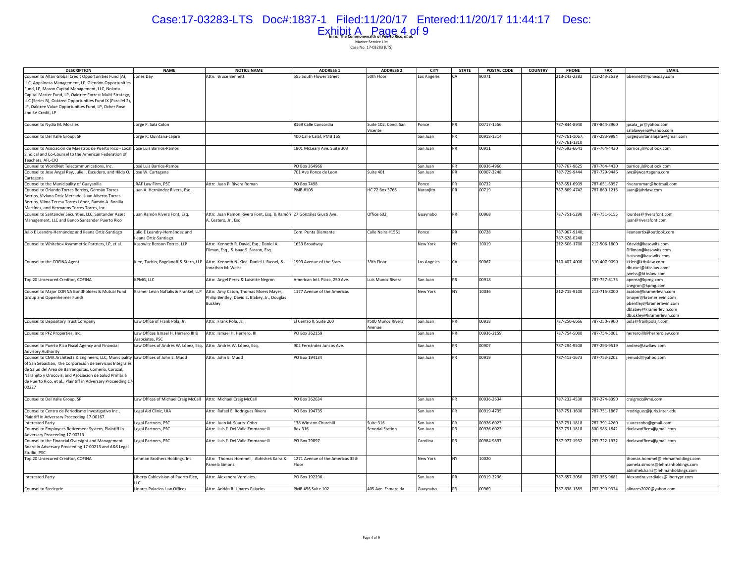# Case:17-03283-LTS Doc#:1837-1 Filed:11/20/17 Entered:11/20/17 11:44:17 Desc: Exhibit A Page 4 of 9

| <b>DESCRIPTION</b>                                                                            | <b>NAME</b>                                                      | <b>NOTICE NAME</b>                                                              | <b>ADDRESS 1</b>                 | <b>ADDRESS 2</b>     | <b>CITY</b>        | <b>STATE</b> | POSTAL CODE | <b>COUNTRY</b> | PHONE         | <b>FAX</b>   | <b>EMAIL</b>                                           |
|-----------------------------------------------------------------------------------------------|------------------------------------------------------------------|---------------------------------------------------------------------------------|----------------------------------|----------------------|--------------------|--------------|-------------|----------------|---------------|--------------|--------------------------------------------------------|
| Counsel to Altair Global Credit Opportunities Fund (A),                                       | Jones Day                                                        | Attn: Bruce Bennett                                                             | 555 South Flower Street          | 50th Floor           | Los Angeles        |              | 00071       |                | 213-243-2382  | 213-243-2539 | bbennett@jonesday.com                                  |
| LLC, Appaloosa Management, LP, Glendon Opportunities                                          |                                                                  |                                                                                 |                                  |                      |                    |              |             |                |               |              |                                                        |
| Fund, LP, Mason Capital Management, LLC, Nokota                                               |                                                                  |                                                                                 |                                  |                      |                    |              |             |                |               |              |                                                        |
| Capital Master Fund, LP, Oaktree-Forrest Multi-Strategy,                                      |                                                                  |                                                                                 |                                  |                      |                    |              |             |                |               |              |                                                        |
| LLC (Series B), Oaktree Opportunities Fund IX (Parallel 2),                                   |                                                                  |                                                                                 |                                  |                      |                    |              |             |                |               |              |                                                        |
| LP, Oaktree Value Opportunities Fund, LP, Ocher Rose                                          |                                                                  |                                                                                 |                                  |                      |                    |              |             |                |               |              |                                                        |
| and SV Credit, LP                                                                             |                                                                  |                                                                                 |                                  |                      |                    |              |             |                |               |              |                                                        |
| Counsel to Nydia M. Morales                                                                   | Jorge P. Sala Colon                                              |                                                                                 | 8169 Calle Concordia             | Suite 102, Cond. San | Ponce              | PR           | 00717-1556  |                | 787-844-8940  | 787-844-8960 | jpsala_pr@yahoo.com                                    |
| Counsel to Del Valle Group, SP                                                                | Jorge R. Quintana-Lajara                                         |                                                                                 | 400 Calle Calaf, PMB 165         | Vicente              | San Juan           | PR           | 00918-1314  |                | 787-761-1067; | 787-283-9994 | salalawyers@yahoo.com<br>jorgequintanalajara@gmail.com |
|                                                                                               |                                                                  |                                                                                 |                                  |                      |                    |              |             |                | 787-761-1310  |              |                                                        |
| Counsel to Asociación de Maestros de Puerto Rico - Local Jose Luis Barrios-Ramos              |                                                                  |                                                                                 | 1801 McLeary Ave. Suite 303      |                      | San Juan           | PR           | 00911       |                | 787-593-6641  | 787-764-4430 | barrios.jl@outlook.com                                 |
| Sindical and Co-Counsel to the American Federation of                                         |                                                                  |                                                                                 |                                  |                      |                    |              |             |                |               |              |                                                        |
| Teachers, AFL-CIO                                                                             |                                                                  |                                                                                 |                                  |                      |                    |              |             |                |               |              |                                                        |
| Counsel to WorldNet Telecommunications, Inc.                                                  | José Luis Barrios-Ramos                                          |                                                                                 | PO Box 364966                    |                      | San Juan           | PR           | 00936-4966  |                | 787-767-9625  | 787-764-4430 | barrios.jl@outlook.com                                 |
| Counsel to Jose Angel Rey, Julie I. Escudero, and Hilda O. Jose W. Cartagena                  |                                                                  |                                                                                 | 701 Ave Ponce de Leon            | Suite 401            | San Juan           | PR           | 00907-3248  |                | 787-729-9444  | 787-729-9446 | jwc@jwcartagena.com                                    |
| Cartagena                                                                                     |                                                                  | Attn: Juan P. Rivera Roman                                                      | PO Box 7498                      |                      |                    | PR           | 00732       |                | 787-651-6909  | 787-651-6957 |                                                        |
| Counsel to the Municipality of Guayanilla<br>Counsel to Orlando Torres Berrios, Germán Torres | JRAF Law Firm, PSC<br>Juan A. Hernández Rivera, Esg.             |                                                                                 | PMB #108                         | HC 72 Box 3766       | Ponce<br>Naranjito | PR           | 00719       |                | 787-869-4742  | 787-869-1215 | riveraroman@hotmail.com<br>juan@jahrlaw.com            |
| Berrios, Viviana Ortiz Mercado, Juan Alberto Torres                                           |                                                                  |                                                                                 |                                  |                      |                    |              |             |                |               |              |                                                        |
| Berrios, Vilma Teresa Torres López, Ramón A, Bonilla                                          |                                                                  |                                                                                 |                                  |                      |                    |              |             |                |               |              |                                                        |
| Martínez, and Hermanos Torres Torres, Inc.                                                    |                                                                  |                                                                                 |                                  |                      |                    |              |             |                |               |              |                                                        |
| Counsel to Santander Securities, LLC, Santander Asset                                         | Juan Ramón Rivera Font, Esq.                                     | Attn: Juan Ramón Rivera Font, Esq. & Ramón 27 González Giusti Ave.              |                                  | Office 602           | Guaynabo           | PR           | 00968       |                | 787-751-5290  | 787-751-6155 | lourdes@riverafont.com                                 |
| Management, LLC and Banco Santander Puerto Rico                                               |                                                                  | A. Cestero, Jr., Esq.                                                           |                                  |                      |                    |              |             |                |               |              | juan@riverafont.com                                    |
| Julio E Leandry-Hernández and Ileana Ortiz-Santiago                                           | Julio E Leandry-Hernández and                                    |                                                                                 | Com. Punta Diamante              | Calle Naira #1561    | Ponce              | PR           | 00728       |                | 787-967-9140; |              | ileanaortix@outlook.com                                |
|                                                                                               | Ileana Ortiz-Santiago                                            |                                                                                 |                                  |                      |                    |              |             |                | 787-628-0248  |              |                                                        |
| Counsel to Whitebox Asymmetric Partners, LP, et al.                                           | Kasowitz Benson Torres, LLP                                      | Attn: Kenneth R. David, Esq., Daniel A.                                         | 1633 Broadway                    |                      | New York           | NY           | 10019       |                | 212-506-1700  | 212-506-1800 | Kdavid@kasowitz.com                                    |
|                                                                                               |                                                                  | Fliman, Esq., & Isaac S. Sasson, Esq.                                           |                                  |                      |                    |              |             |                |               |              | Dfliman@kasowitz.com                                   |
|                                                                                               |                                                                  |                                                                                 |                                  |                      |                    |              |             |                |               |              | Isasson@kasowitz.com                                   |
| Counsel to the COFINA Agent                                                                   |                                                                  | Klee, Tuchin, Bogdanoff & Stern, LLP Attn: Kenneth N. Klee, Daniel J. Bussel, & | 1999 Avenue of the Stars         | 39th Floor           | Los Angeles        | CA           | 90067       |                | 310-407-4000  | 310-407-9090 | kklee@ktbslaw.com<br>dbussel@ktbslaw.com               |
|                                                                                               |                                                                  | Jonathan M. Weiss                                                               |                                  |                      |                    |              |             |                |               |              | weiss@ktbslaw.com                                      |
| Top 20 Unsecured Creditor, COFINA                                                             | KPMG, LLC                                                        | Attn: Angel Perez & Luisette Negron                                             | American Intl. Plaza, 250 Ave.   | Luis Munoz Rivera    | San Juan           | PR           | 00918       |                |               | 787-757-6175 | aperez@kpmg.com                                        |
|                                                                                               |                                                                  |                                                                                 |                                  |                      |                    |              |             |                |               |              | Lnegron@kpmg.com                                       |
| Counsel to Major COFINA Bondholders & Mutual Fund                                             | Kramer Levin Naftalis & Frankel, LLP                             | Attn: Amy Caton, Thomas Moers Mayer,                                            | 1177 Avenue of the Americas      |                      | New York           | <b>NY</b>    | 10036       |                | 212-715-9100  | 212-715-8000 | acaton@kramerlevin.com                                 |
| Group and Oppenheimer Funds                                                                   |                                                                  | Philip Bentley, David E. Blabey, Jr., Douglas                                   |                                  |                      |                    |              |             |                |               |              | tmayer@kramerlevin.com                                 |
|                                                                                               |                                                                  | <b>Buckley</b>                                                                  |                                  |                      |                    |              |             |                |               |              | pbentley@kramerlevin.com                               |
|                                                                                               |                                                                  |                                                                                 |                                  |                      |                    |              |             |                |               |              | dblabey@kramerlevin.com                                |
|                                                                                               |                                                                  |                                                                                 |                                  |                      |                    |              |             |                |               |              | dbuckley@kramerlevin.com                               |
| Counsel to Depository Trust Company                                                           | Law Office of Frank Pola, Jr.                                    | Attn: Frank Pola, Jr.                                                           | El Centro II, Suite 260          | #500 Muñoz Rivera    | San Juan           | <b>PR</b>    | 00918       |                | 787-250-6666  | 787-250-7900 | pola@frankpolajr.com                                   |
| Counsel to PFZ Properties, Inc.                                                               | Law Offices Ismael H. Herrero III &                              | Attn: Ismael H. Herrero, III                                                    | PO Box 362159                    | Avenue               | San Juan           | PR           | 00936-2159  |                | 787-754-5000  | 787-754-5001 | herreroill@herrerolaw.com                              |
|                                                                                               | Associates, PSC                                                  |                                                                                 |                                  |                      |                    |              |             |                |               |              |                                                        |
| Counsel to Puerto Rico Fiscal Agency and Financial                                            | Law Offices of Andrés W. López, Esq. Attn: Andrés W. López, Esq. |                                                                                 | 902 Fernández Juncos Ave.        |                      | San Juan           | <b>PR</b>    | 00907       |                | 787-294-9508  | 787-294-9519 | andres@awllaw.com                                      |
| <b>Advisory Authority</b>                                                                     |                                                                  |                                                                                 |                                  |                      |                    |              |             |                |               |              |                                                        |
| Counsel to CMA Architects & Engineers, LLC, Municipality Law Offices of John E. Mudd          |                                                                  | Attn: John E. Mudd                                                              | PO Box 194134                    |                      | San Juan           | PR           | 00919       |                | 787-413-1673  | 787-753-2202 | jemudd@yahoo.com                                       |
| of San Sebastian, the Corporación de Servicios Integrales                                     |                                                                  |                                                                                 |                                  |                      |                    |              |             |                |               |              |                                                        |
| de Salud del Area de Barranquitas, Comerío, Corozal,                                          |                                                                  |                                                                                 |                                  |                      |                    |              |             |                |               |              |                                                        |
| Naranjito y Orocovis, and Asociacion de Salud Primaria                                        |                                                                  |                                                                                 |                                  |                      |                    |              |             |                |               |              |                                                        |
| de Puerto Rico, et al., Plaintiff in Adversary Proceeding 17-                                 |                                                                  |                                                                                 |                                  |                      |                    |              |             |                |               |              |                                                        |
| 00227                                                                                         |                                                                  |                                                                                 |                                  |                      |                    |              |             |                |               |              |                                                        |
| Counsel to Del Valle Group, SP                                                                | Law Offices of Michael Craig McCall                              | Attn: Michael Craig McCall                                                      | PO Box 362634                    |                      | San Juan           | PR           | 00936-2634  |                | 787-232-4530  | 787-274-8390 | craigmcc@me.com                                        |
|                                                                                               |                                                                  |                                                                                 |                                  |                      |                    |              |             |                |               |              |                                                        |
| Counsel to Centro de Periodismo Investigativo Inc.,                                           | Legal Aid Clinic, UIA                                            | Attn: Rafael E. Rodriguez Rivera                                                | PO Box 194735                    |                      | San Juan           | PR           | 00919-4735  |                | 787-751-1600  | 787-751-1867 | rrodriguez@juris.inter.edu                             |
| Plaintiff in Adversary Proceeding 17-00167                                                    |                                                                  |                                                                                 |                                  |                      |                    |              |             |                |               |              |                                                        |
| <b>Interested Party</b>                                                                       | Legal Partners, PSC                                              | Attn: Juan M. Suarez-Cobo                                                       | 138 Winston Churchill            | Suite 316            | San Juan           | PR           | 00926-6023  |                | 787-791-1818  | 787-791-4260 | suarezcobo@gmail.com                                   |
| Counsel to Employees Retirement System, Plaintiff in                                          | Legal Partners, PSC                                              | Attn: Luis F. Del Valle Emmanuelli                                              | Box 316                          | Senorial Station     | San Juan           | <b>PR</b>    | 00926-6023  |                | 787-791-1818  | 800-986-1842 | dvelawoffices@gmail.com                                |
| Adversary Proceeding 17-00213                                                                 |                                                                  |                                                                                 |                                  |                      |                    |              |             |                |               |              |                                                        |
| Counsel to the Financial Oversight and Management                                             | Legal Partners, PSC                                              | Attn: Luis F. Del Valle Emmanuelli                                              | PO Box 79897                     |                      | Carolina           | PR           | 00984-9897  |                | 787-977-1932  | 787-722-1932 | dvelawoffices@gmail.com                                |
| Board in Adversary Proceeding 17-00213 and A&S Legal                                          |                                                                  |                                                                                 |                                  |                      |                    |              |             |                |               |              |                                                        |
| Studio, PSC                                                                                   |                                                                  |                                                                                 |                                  |                      |                    |              |             |                |               |              |                                                        |
| Top 20 Unsecured Creidtor, COFINA                                                             | Lehman Brothers Holdings, Inc.                                   | Attn: Thomas Hommell, Abhishek Kalra &                                          | 1271 Avenue of the Americas 35th |                      | New York           | NY           | 10020       |                |               |              | thomas.hommel@lehmanholdings.com                       |
|                                                                                               |                                                                  | Pamela Simons                                                                   | Floor                            |                      |                    |              |             |                |               |              | pamela.simons@lehmanholdings.com                       |
|                                                                                               |                                                                  |                                                                                 |                                  |                      |                    |              |             |                |               |              | abhishek.kalra@lehmanholdings.com                      |
| <b>Interested Party</b>                                                                       | Liberty Cablevision of Puerto Rico,                              | Attn: Alexandra Verdiales                                                       | PO Box 192296                    |                      | San Juan           | <b>PR</b>    | 00919-2296  |                | 787-657-3050  | 787-355-9681 | Alexandra.verdiales@libertypr.com                      |
|                                                                                               | $\mathsf{H}^{\mathsf{c}}$                                        |                                                                                 |                                  |                      |                    |              |             |                |               |              |                                                        |
| Counsel to Stericycle                                                                         | Linares Palacios Law Offices                                     | Attn: Adrián R. Linares Palacios                                                | PMB 456 Suite 102                | 405 Ave. Esmeralda   | Guaynabo           | PR           | 00969       |                | 787-638-1389  | 787-790-9374 | alinares2020@yahoo.com                                 |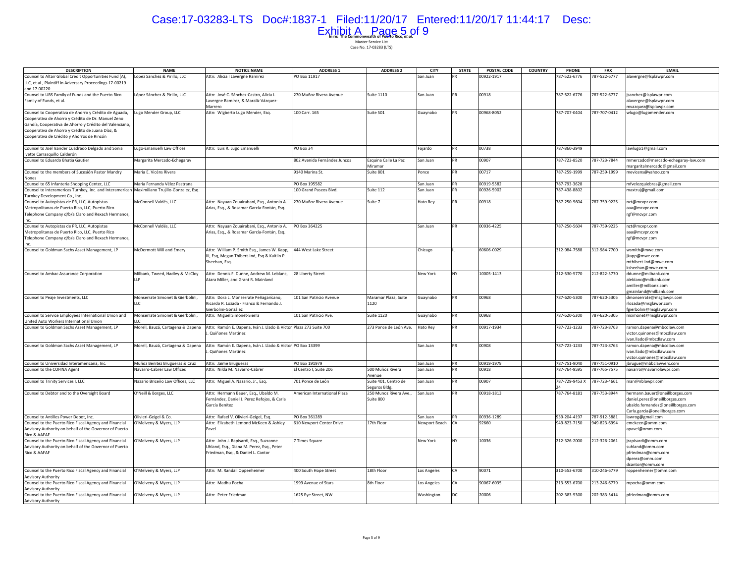# Case:17-03283-LTS Doc#:1837-1 Filed:11/20/17 Entered:11/20/17 11:44:17 Desc: Exhibit A Page 5 of 9

| <b>DESCRIPTION</b>                                                                           | <b>NAME</b>                       | <b>NOTICE NAME</b>                                                | <b>ADDRESS 1</b>             | <b>ADDRESS 2</b>       | <b>CITY</b>   | <b>STATE</b> | POSTAL CODE | <b>COUNTRY</b> | <b>PHONE</b>   | <b>FAX</b>   | <b>EMAIL</b>                       |
|----------------------------------------------------------------------------------------------|-----------------------------------|-------------------------------------------------------------------|------------------------------|------------------------|---------------|--------------|-------------|----------------|----------------|--------------|------------------------------------|
| Counsel to Altair Global Credit Opportunities Fund (A),                                      | Lopez Sanchez & Pirillo, LLC      | Attn: Alicia I Lavergne Ramirez                                   | PO Box 11917                 |                        | San Juan      |              | 00922-1917  |                | 787-522-6776   | 787-522-6777 | alavergne@lsplawpr.com             |
| LLC, et al., Plaintiff in Adversary Proceedings 17-00219                                     |                                   |                                                                   |                              |                        |               |              |             |                |                |              |                                    |
| and 17-00220                                                                                 |                                   |                                                                   |                              |                        |               |              |             |                |                |              |                                    |
| Counsel to UBS Family of Funds and the Puerto Rico                                           | López Sánchez & Pirillo, LLC      | Attn: José C. Sánchez-Castro, Alicia I.                           | 270 Muñoz Rivera Avenue      | <b>Suite 1110</b>      | San Juan      | PR           | 00918       |                | 787-522-6776   | 787-522-6777 | jsanchez@lsplawpr.com              |
| Family of Funds, et al.                                                                      |                                   | Lavergne Ramírez, & Maraliz Vázquez-                              |                              |                        |               |              |             |                |                |              | alavergne@Isplawpr.com             |
|                                                                                              |                                   | Marrero                                                           |                              |                        |               |              |             |                |                |              | mvazquez@Isplawpr.com              |
| Counsel to Cooperativa de Ahorro y Crédito de Aguada,                                        | Lugo Mender Group, LLC            | Attn: Wigberto Lugo Mender, Esq.                                  | 100 Carr. 165                | Suite 501              | Guaynabo      | PR           | 00968-8052  |                | 787-707-0404   | 787-707-0412 | wlugo@lugomender.com               |
| Cooperativa de Ahorro y Crédito de Dr. Manuel Zeno                                           |                                   |                                                                   |                              |                        |               |              |             |                |                |              |                                    |
| Gandía, Cooperativa de Ahorro y Crédito del Valenciano,                                      |                                   |                                                                   |                              |                        |               |              |             |                |                |              |                                    |
| Cooperativa de Ahorro y Crédito de Juana Díaz, &                                             |                                   |                                                                   |                              |                        |               |              |             |                |                |              |                                    |
| Cooperativa de Crédito y Ahorros de Rincón                                                   |                                   |                                                                   |                              |                        |               |              |             |                |                |              |                                    |
|                                                                                              |                                   |                                                                   |                              |                        |               |              |             |                |                |              |                                    |
| Counsel to Joel Isander Cuadrado Delgado and Sonia                                           | Lugo-Emanuelli Law Offices        | Attn: Luis R. Lugo Emanuelli                                      | PO Box 34                    |                        | Fajardo       | PR           | 00738       |                | 787-860-3949   |              | lawlugo1@gmail.com                 |
| Ivette Carrasquillo Calderón                                                                 |                                   |                                                                   |                              |                        |               |              |             |                |                |              |                                    |
| Counsel to Eduardo Bhatia Gautier                                                            | Margarita Mercado-Echegaray       |                                                                   | 802 Avenida Fernández Juncos | Esquina Calle La Paz   | San Juan      | PR           | 00907       |                | 787-723-8520   | 787-723-7844 | mmercado@mercado-echegaray-law.com |
|                                                                                              |                                   |                                                                   |                              | Miramar                |               |              |             |                |                |              | margaritalmercado@gmail.com        |
| Counsel to the members of Sucesión Pastor Mandry                                             | María E. Vicéns Rivera            |                                                                   | 9140 Marina St.              | Suite 801              | Ponce         | ÞR           | 00717       |                | 787-259-1999   | 787-259-1999 | mevicens@yahoo.com                 |
| <b>Nones</b>                                                                                 |                                   |                                                                   |                              |                        |               |              |             |                |                |              |                                    |
| Counsel to 65 Infanteria Shopping Center, LLC                                                | María Fernanda Vélez Pastrana     |                                                                   | PO Box 195582                |                        | San Juan      | PR           | 00919-5582  |                | 787-793-3628   |              | mfvelezquiebras@gmail.com          |
| Counsel to Interamericas Turnkey, Inc. and Interamerican Maximiliano Trujillo-Gonzalez, Esq. |                                   |                                                                   | 100 Grand Paseos Blvd.       | Suite 112              | San Juan      | ÞR           | 00926-5902  |                | 787-438-8802   |              | maxtruj@gmail.com                  |
| Turnkey Development Co., Inc.                                                                |                                   |                                                                   |                              |                        |               |              |             |                |                |              |                                    |
| Counsel to Autopistas de PR, LLC, Autopistas                                                 | McConnell Valdés, LLC             | Attn: Nayuan Zouairabani, Esg., Antonio A.                        | 270 Muñoz Rivera Avenue      | Suite 7                | Hato Rey      | PR           | 00918       |                | 787-250-5604   | 787-759-9225 | nzt@mcvpr.com                      |
| Metropolitanas de Puerto Rico, LLC, Puerto Rico                                              |                                   | Arias, Esq., & Rosamar García-Fontán, Esq.                        |                              |                        |               |              |             |                |                |              | aaa@mcvpr.com                      |
| Telephone Company d/b/a Claro and Rexach Hermanos,                                           |                                   |                                                                   |                              |                        |               |              |             |                |                |              | rgf@mcvpr.com                      |
|                                                                                              |                                   |                                                                   |                              |                        |               |              |             |                |                |              |                                    |
| Counsel to Autopistas de PR, LLC, Autopistas                                                 | McConnell Valdés, LLC             | Attn: Nayuan Zouairabani, Esq., Antonio A.                        | PO Box 364225                |                        | San Juan      | PR           | 00936-4225  |                | 787-250-5604   | 787-759-9225 | nzt@mcvpr.com                      |
| Metropolitanas de Puerto Rico, LLC, Puerto Rico                                              |                                   | Arias, Esq., & Rosamar García-Fontán, Esq.                        |                              |                        |               |              |             |                |                |              | aaa@mcvpr.com                      |
| Telephone Company d/b/a Claro and Rexach Hermanos,                                           |                                   |                                                                   |                              |                        |               |              |             |                |                |              | rgf@mcvpr.com                      |
|                                                                                              |                                   |                                                                   |                              |                        |               |              |             |                |                |              |                                    |
| Counsel to Goldman Sachs Asset Management, LP                                                | McDermott Will and Emery          | Attn: William P. Smith Esg., James W. Kapp,                       | 444 West Lake Street         |                        | Chicago       |              | 60606-0029  |                | 312-984-7588   | 312-984-7700 | wsmith@mwe.com                     |
|                                                                                              |                                   | III, Esq, Megan Thibert-Ind, Esq & Kaitlin P.                     |                              |                        |               |              |             |                |                |              | jkapp@mwe.com                      |
|                                                                                              |                                   | Sheehan, Esq.                                                     |                              |                        |               |              |             |                |                |              | mthibert-ind@mwe.com               |
|                                                                                              |                                   |                                                                   |                              |                        |               |              |             |                |                |              | ksheehan@mwe.com                   |
| Counsel to Ambac Assurance Corporation                                                       | Milbank, Tweed, Hadley & McCloy   | Attn: Dennis F. Dunne, Andrew M. Leblanc,                         | 28 Liberty Street            |                        | New York      | <b>NY</b>    | 10005-1413  |                | 212-530-5770   | 212-822-5770 | ddunne@milbank.com                 |
|                                                                                              | <b>IIP</b>                        | Atara Miller, and Grant R. Mainland                               |                              |                        |               |              |             |                |                |              | aleblanc@milbank.com               |
|                                                                                              |                                   |                                                                   |                              |                        |               |              |             |                |                |              | amiller@milbank.com                |
|                                                                                              |                                   |                                                                   |                              |                        |               |              |             |                |                |              | mainland@milbank.com               |
| Counsel to Peaje Investments, LLC                                                            | Monserrate Simonet & Gierbolini,  | Attn: Dora L. Monserrate Peñagarícano,                            | 101 San Patricio Avenue      | Maramar Plaza, Suite   | Guaynabo      | PR           | 00968       |                | 787-620-5300   | 787-620-5305 | dmonserrate@msglawpr.com           |
|                                                                                              | $\overline{11}$ $\overline{C}$    | Ricardo R. Lozada - Franco & Fernando J.                          |                              | 1120                   |               |              |             |                |                |              | lozada@msglawpr.com                |
|                                                                                              |                                   | Gierbolini-González                                               |                              |                        |               |              |             |                |                |              | gierbolini@msglawpr.com            |
| Counsel to Service Employees International Union and                                         | Monserrate Simonet & Gierbolini,  | Attn: Miguel Simonet-Sierra                                       | 101 San Patricio Ave.        | <b>Suite 1120</b>      | Guaynabo      | PR           | 00968       |                | 787-620-5300   | 787-620-5305 | msimonet@msglawpr.com              |
| United Auto Workers International Union                                                      |                                   |                                                                   |                              |                        |               |              |             |                |                |              |                                    |
| Counsel to Goldman Sachs Asset Management, LP                                                | Morell, Bauzá, Cartagena & Dapena | Attn: Ramón E. Dapena, Iván J. Llado & Víctor Plaza 273 Suite 700 |                              | 273 Ponce de León Ave. | Hato Rey      | PR           | 00917-1934  |                | 787-723-1233   | 787-723-8763 | ramon.dapena@mbcdlaw.com           |
|                                                                                              |                                   | . Quiñones Martínez                                               |                              |                        |               |              |             |                |                |              | victor.quinones@mbcdlaw.com        |
|                                                                                              |                                   |                                                                   |                              |                        |               |              |             |                |                |              | van.llado@mbcdlaw.com              |
| Counsel to Goldman Sachs Asset Management, LP                                                | Morell, Bauzá, Cartagena & Dapena | Attn: Ramón E. Dapena, Iván J. Llado & Víctor PO Box 13399        |                              |                        | San Juan      | PR           | 00908       |                | 787-723-1233   | 787-723-8763 | ramon.dapena@mbcdlaw.com           |
|                                                                                              |                                   | . Quiñones Martínez                                               |                              |                        |               |              |             |                |                |              | ivan.llado@mbcdlaw.com             |
|                                                                                              |                                   |                                                                   |                              |                        |               |              |             |                |                |              | victor.quinones@mbcdlaw.com        |
| Counsel to Universidad Interamericana, Inc.                                                  | Muñoz Benitez Brugueras & Cruz    | Attn: Jaime Brugueras                                             | PO Box 191979                |                        | San Juan      | PR           | 00919-1979  |                | 787-751-9040   | 787-751-0910 | jbrugue@mbbclawyers.com            |
| Counsel to the COFINA Agent                                                                  | Navarro-Cabrer Law Offices        | Attn: Nilda M. Navarro-Cabrer                                     | I Centro I, Suite 206        | 500 Muñoz Rivera       | San Juan      | PR           | 00918       |                | 787-764-9595   | 787-765-7575 | navarro@navarrolawpr.com           |
|                                                                                              |                                   |                                                                   |                              | Avenue                 | San Juan      | <b>PR</b>    | 00907       |                |                |              |                                    |
| Counsel to Trinity Services I, LLC                                                           | Nazario Briceño Law Offices, LLC  | Attn: Miguel A. Nazario, Jr., Esq.                                | 701 Ponce de León            | Suite 401, Centro de   |               |              |             |                | 787-729-9453 X | 787-723-4661 | man@nblawpr.com                    |
|                                                                                              |                                   |                                                                   |                              | Seguros Bldg.          |               | <b>PR</b>    |             |                |                |              |                                    |
| Counsel to Debtor and to the Oversight Board                                                 | O'Neill & Borges, LLC             | Attn: Hermann Bauer, Esq., Ubaldo M.                              | American International Plaza | 250 Munoz Rivera Ave., | San Juan      |              | 00918-1813  |                | 787-764-8181   | 787-753-8944 | hermann.bauer@oneillborges.com     |
|                                                                                              |                                   | Fernández, Daniel J. Perez Refojos, & Carla                       |                              | Suite 800              |               |              |             |                |                |              | daniel.perez@oneillborges.com      |
|                                                                                              |                                   | García Benítez                                                    |                              |                        |               |              |             |                |                |              | ubaldo.fernandez@oneillborges.com  |
|                                                                                              |                                   |                                                                   |                              |                        |               |              |             |                |                |              | Carla.garcia@oneillborges.com      |
| Counsel to Antilles Power Depot, Inc.                                                        | Olivieri-Geigel & Co.             | Attn: Rafael V. Olivieri-Geigel, Esq.                             | PO Box 361289                |                        | San Juan      |              | 00936-1289  |                | 939-204-4197   | 787-912-5881 | lawrog@gmail.com                   |
| Counsel to the Puerto Rico Fiscal Agency and Financial                                       | O'Melveny & Myers, LLP            | Attn: Elizabeth Lemond McKeen & Ashley                            | 510 Newport Center Drive     | 17th Floor             | Newport Beach |              | 92660       |                | 949-823-7150   | 949-823-6994 | emckeen@omm.com                    |
| Advisory Authority on behalf of the Governor of Puerto                                       |                                   | Pavel                                                             |                              |                        |               |              |             |                |                |              | apavel@omm.com                     |
| Rico & AAFAF                                                                                 |                                   |                                                                   |                              |                        | New York      | <b>NY</b>    | 10036       |                | 212-326-2000   |              |                                    |
| Counsel to the Puerto Rico Fiscal Agency and Financial                                       | O'Melveny & Myers, LLP            | Attn: John J. Rapisardi, Esq., Suzzanne                           | 7 Times Square               |                        |               |              |             |                |                | 212-326-2061 | jrapisardi@omm.com                 |
| Advisory Authority on behalf of the Governor of Puerto                                       |                                   | Uhland, Esq., Diana M. Perez, Esq., Peter                         |                              |                        |               |              |             |                |                |              | suhland@omm.com                    |
| Rico & AAFAF                                                                                 |                                   | Friedman, Esq., & Daniel L. Cantor                                |                              |                        |               |              |             |                |                |              | pfriedman@omm.com                  |
|                                                                                              |                                   |                                                                   |                              |                        |               |              |             |                |                |              | dperez@omm.com                     |
|                                                                                              |                                   |                                                                   |                              |                        |               |              |             |                |                |              | dcantor@omm.com                    |
| Counsel to the Puerto Rico Fiscal Agency and Financial                                       | O'Melveny & Myers, LLP            | Attn: M. Randall Oppenheimer                                      | 400 South Hope Street        | 18th Floor             | Los Angeles   | CA           | 90071       |                | 310-553-6700   | 310-246-6779 | roppenheimer@omm.com               |
| <b>Advisory Authority</b>                                                                    |                                   |                                                                   |                              |                        |               |              |             |                |                |              |                                    |
| Counsel to the Puerto Rico Fiscal Agency and Financial                                       | O'Melveny & Myers, LLP            | Attn: Madhu Pocha                                                 | 1999 Avenue of Stars         | 8th Floor              | Los Angeles   | CA           | 90067-6035  |                | 213-553-6700   | 213-246-6779 | mpocha@omm.com                     |
| <b>Advisory Authority</b>                                                                    |                                   |                                                                   |                              |                        |               |              |             |                |                |              |                                    |
| Counsel to the Puerto Rico Fiscal Agency and Financial                                       | O'Melveny & Myers, LLP            | Attn: Peter Friedman                                              | 1625 Eye Street, NW          |                        | Washington    | DC           | 20006       |                | 202-383-5300   | 202-383-5414 | pfriedman@omm.com                  |
| <b>Advisory Authority</b>                                                                    |                                   |                                                                   |                              |                        |               |              |             |                |                |              |                                    |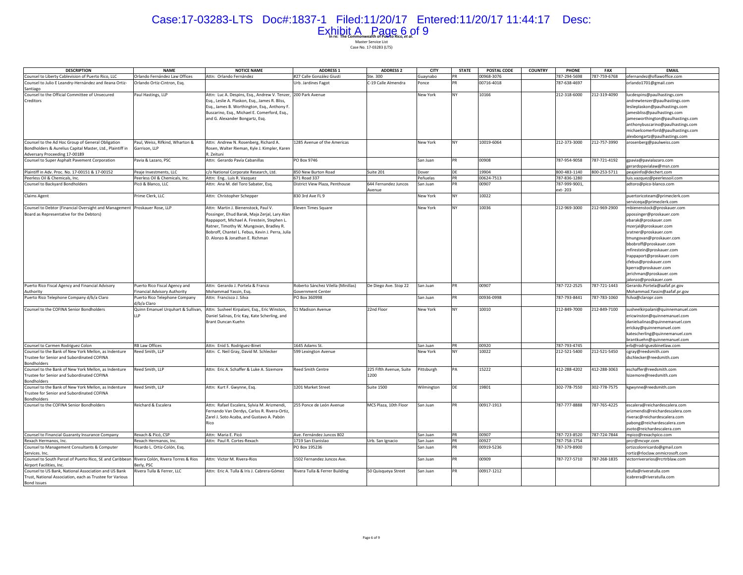# Case:17-03283-LTS Doc#:1837-1 Filed:11/20/17 Entered:11/20/17 11:44:17 Desc: Exhibit A Page 6 of 9

| <b>DESCRIPTION</b>                                                                                                                     | <b>NAME</b>                                                  | <b>NOTICE NAME</b>                                                                                                                                                                                                                                                     | <b>ADDRESS 1</b>                                        | <b>ADDRESS 2</b>                | <b>CITY</b> | <b>STATE</b> | POSTAL CODE | <b>COUNTRY</b> | <b>PHONE</b>             | <b>FAX</b>   | <b>EMAIL</b>                                                                                                                                                                                                                                                                                                                                     |
|----------------------------------------------------------------------------------------------------------------------------------------|--------------------------------------------------------------|------------------------------------------------------------------------------------------------------------------------------------------------------------------------------------------------------------------------------------------------------------------------|---------------------------------------------------------|---------------------------------|-------------|--------------|-------------|----------------|--------------------------|--------------|--------------------------------------------------------------------------------------------------------------------------------------------------------------------------------------------------------------------------------------------------------------------------------------------------------------------------------------------------|
| Counsel to Liberty Cablevision of Puerto Rico, LLC                                                                                     | Orlando Fernández Law Offices                                | Attn: Orlando Fernández                                                                                                                                                                                                                                                | #27 Calle González Giusti                               | Ste. 300                        | Guaynabo    | PR           | 00968-3076  |                | 787-294-5698             | 787-759-6768 | ofernandez@oflawoffice.com                                                                                                                                                                                                                                                                                                                       |
| Counsel to Julio E Leandry-Hernández and Ileana Ortiz-<br>Santiago                                                                     | Orlando Ortiz-Cintron, Esq.                                  |                                                                                                                                                                                                                                                                        | Urb. Jardines Fagot                                     | C-19 Calle Almendra             | once        | PR           | 00716-4018  |                | 787-638-4697             |              | orlando1701@gmail.com                                                                                                                                                                                                                                                                                                                            |
| Counsel to the Official Committee of Unsecured<br>Creditors                                                                            | Paul Hastings, LLP                                           | Attn: Luc A. Despins, Esq., Andrew V. Tenzer, 200 Park Avenue<br>Esq., Leslie A. Plaskon, Esq., James R. Bliss,<br>Esq., James B. Worthington, Esq., Anthony F.<br>Buscarino, Esq., Michael E. Comerford, Esq.,<br>and G. Alexander Bongartz, Esq.                     |                                                         |                                 | New York    | <b>NY</b>    | 10166       |                | 212-318-6000             | 212-319-4090 | lucdespins@paulhastings.com<br>andrewtenzer@paulhastings.com<br>leslieplaskon@paulhastings.com<br>jamesbliss@paulhastings.com<br>jamesworthington@paulhastings.com<br>anthonybuscarino@paulhastings.com<br>michaelcomerford@paulhastings.com<br>alexbongartz@paulhastings.com                                                                    |
| Counsel to the Ad Hoc Group of General Obligation                                                                                      | Paul, Weiss, Rifkind, Wharton &                              | Attn: Andrew N. Rosenberg, Richard A.                                                                                                                                                                                                                                  | 1285 Avenue of the Americas                             |                                 | New York    | NY           | 10019-6064  |                | 212-373-3000             | 212-757-3990 | arosenberg@paulweiss.com                                                                                                                                                                                                                                                                                                                         |
| Bondholders & Aurelius Capital Master, Ltd., Plaintiff in<br>Adversary Proceeding 17-00189                                             | Garrison, LLP                                                | Rosen, Walter Rieman, Kyle J. Kimpler, Karen<br>2. Zeituni                                                                                                                                                                                                             |                                                         |                                 |             |              |             |                |                          |              |                                                                                                                                                                                                                                                                                                                                                  |
| Counsel to Super Asphalt Pavement Corporation                                                                                          | Pavia & Lazaro, PSC                                          | Attn: Gerardo Pavía Cabanillas                                                                                                                                                                                                                                         | PO Box 9746                                             |                                 | San Juan    | PR           | 00908       |                | 787-954-9058             | 787-721-4192 | gpavia@pavialazaro.com<br>gerardopavialaw@msn.com                                                                                                                                                                                                                                                                                                |
| Plaintiff in Adv. Proc. No. 17-00151 & 17-00152                                                                                        | Peaje Investments, LLC                                       | c/o National Corporate Research, Ltd.                                                                                                                                                                                                                                  | 850 New Burton Road                                     | Suite 201                       | Dover       | DE           | 19904       |                | 800-483-1140             | 800-253-5711 | peajeinfo@dechert.com                                                                                                                                                                                                                                                                                                                            |
| Peerless Oil & Chemicals, Inc.                                                                                                         | Peerless Oil & Chemicals, Inc.                               | Attn: Eng., Luis R. Vazquez                                                                                                                                                                                                                                            | 671 Road 337                                            |                                 | Peñuelas    | PR           | 00624-7513  |                | 787-836-1280             |              | luis.vazquez@peerlessoil.com                                                                                                                                                                                                                                                                                                                     |
| Counsel to Backyard Bondholders                                                                                                        | Picó & Blanco, LLC                                           | Attn: Ana M. del Toro Sabater, Esq.                                                                                                                                                                                                                                    | District View Plaza, Penthouse                          | 644 Fernandez Juncos<br>Avenue  | San Juan    | <b>PR</b>    | 00907       |                | 787-999-9001,<br>ext-203 |              | adtoro@pico-blanco.com                                                                                                                                                                                                                                                                                                                           |
| <b>Claims Agent</b>                                                                                                                    | Prime Clerk, LLC                                             | Attn: Christopher Schepper                                                                                                                                                                                                                                             | 830 3rd Ave FL 9                                        |                                 | New York    | NY           | 10022       |                |                          |              | puertoricoteam@primeclerk.com<br>servicega@primeclerk.com                                                                                                                                                                                                                                                                                        |
| Counsel to Debtor (Financial Oversight and Management   Proskauer Rose, LLP<br>Board as Representative for the Debtors)                |                                                              | Attn: Martin J. Bienenstock, Paul V.<br>Possinger, Ehud Barak, Maja Zerjal, Lary Alan<br>Rappaport, Michael A. Firestein, Stephen L.<br>Ratner, Timothy W. Mungovan, Bradley R.<br>Bobroff, Chantel L. Febus, Kevin J. Perra, Julia<br>D. Alonzo & Jonathan E. Richman | <b>Ieven Times Square</b>                               |                                 | New York    | NY           | 10036       |                | 212-969-3000             | 212-969-2900 | mbienenstock@proskauer.com<br>ppossinger@proskauer.com<br>ebarak@proskauer.com<br>mzerjal@proskauer.com<br>sratner@proskauer.com<br>tmungovan@proskauer.com<br>bbobroff@proskauer.com<br>mfirestein@proskauer.com<br>Irappaport@proskauer.com<br>cfebus@proskauer.com<br>kperra@proskauer.com<br>jerichman@proskauer.com<br>alonzo@proskauer.com |
| Puerto Rico Fiscal Agency and Financial Advisory<br>Authority                                                                          | Puerto Rico Fiscal Agency and<br>inancial Advisory Authority | Attn: Gerardo J. Portela & Franco<br>Mohammad Yassin, Esq.                                                                                                                                                                                                             | Roberto Sánchez Vilella (Minillas)<br>Government Center | De Diego Ave. Stop 22           | San Juan    | <b>PR</b>    | 00907       |                | 787-722-2525             | 787-721-1443 | Gerardo.Portela@aafaf.pr.gov<br>Mohammad. Yassin@aafaf.pr.gov                                                                                                                                                                                                                                                                                    |
| Puerto Rico Telephone Company d/b/a Claro                                                                                              | Puerto Rico Telephone Company<br>d/b/a Claro                 | Attn: Francisco J. Silva                                                                                                                                                                                                                                               | PO Box 360998                                           |                                 | San Juan    | <b>PR</b>    | 00936-0998  |                | 787-793-8441             | 787-783-1060 | fsilva@claropr.com                                                                                                                                                                                                                                                                                                                               |
| Counsel to the COFINA Senior Bondholders                                                                                               | Quinn Emanuel Urquhart & Sullivan,<br>IIP                    | Attn: Susheel Kirpalani, Esq., Eric Winston,<br>Daniel Salinas, Eric Kay, Kate Scherling, and<br>Brant Duncan Kuehn                                                                                                                                                    | 51 Madison Avenue                                       | 22nd Floor                      | New York    | NY           | 10010       |                | 212-849-7000             | 212-849-7100 | susheelkirpalani@quinnemanuel.com<br>ericwinston@quinnemanuel.com<br>danielsalinas@quinnemanuel.com<br>erickay@quinnemanuel.com<br>katescherling@quinnemanuel.com<br>brantkuehn@quinnemanuel.com                                                                                                                                                 |
| Counsel to Carmen Rodriguez Colon                                                                                                      | <b>RB Law Offices</b>                                        | Attn: Enid S. Rodriguez-Binet                                                                                                                                                                                                                                          | 1645 Adams St.                                          |                                 | San Juan    | <b>PR</b>    | 00920       |                | 787-793-4745             |              | erb@rodriguezbinetlaw.com                                                                                                                                                                                                                                                                                                                        |
| Counsel to the Bank of New York Mellon, as Indenture<br>Trustee for Senior and Subordinated COFINA<br><b>Bondholders</b>               | Reed Smith, LLP                                              | Attn: C. Neil Gray, David M. Schlecker                                                                                                                                                                                                                                 | 599 Lexington Avenue                                    |                                 | New York    | NY           | 10022       |                | 212-521-5400             | 212-521-5450 | cgray@reedsmith.com<br>dschlecker@reedsmith.com                                                                                                                                                                                                                                                                                                  |
| Counsel to the Bank of New York Mellon, as Indenture<br>Trustee for Senior and Subordinated COFINA<br><b>Bondholders</b>               | Reed Smith, LLP                                              | Attn: Eric A. Schaffer & Luke A. Sizemore                                                                                                                                                                                                                              | <b>Reed Smith Centre</b>                                | 225 Fifth Avenue, Suite<br>1200 | ittsburgh   | PΔ           | 15222       |                | 412-288-4202             | 412-288-3063 | eschaffer@reedsmith.com<br>sizemore@reedsmith.com                                                                                                                                                                                                                                                                                                |
| Counsel to the Bank of New York Mellon, as Indenture<br>Trustee for Senior and Subordinated COFINA<br>Bondholders                      | Reed Smith, LLP                                              | Attn: Kurt F. Gwynne, Esg.                                                                                                                                                                                                                                             | 1201 Market Street                                      | <b>Suite 1500</b>               | Wilmington  | DE           | 19801       |                | 302-778-7550             | 302-778-7575 | kgwynne@reedsmith.com                                                                                                                                                                                                                                                                                                                            |
| Counsel to the COFINA Senior Bondholders                                                                                               | Reichard & Escalera                                          | Attn: Rafael Escalera, Sylvia M. Arizmendi,<br>ernando Van Derdys, Carlos R. Rivera-Ortiz,<br>Zarel J. Soto Acaba, and Gustavo A. Pabón<br>Rico                                                                                                                        | 255 Ponce de León Avenue                                | MCS Plaza, 10th Floor           | San Juan    | PR           | 00917-1913  |                | 787-777-8888             | 787-765-4225 | escalera@reichardescalera.com<br>arizmendis@reichardescalera.com<br>riverac@reichardescalera.com<br>pabong@reichardescalera.com<br>zsoto@reichardescalera.com                                                                                                                                                                                    |
| Counsel to Financial Guaranty Insurance Company                                                                                        | Rexach & Picó, CSP                                           | Attn: Maria E. Picó                                                                                                                                                                                                                                                    | Ave. Fernández Juncos 802                               |                                 | San Juan    | PR           | 00907       |                | 787-723-8520             | 787-724-7844 | mpico@rexachpico.com                                                                                                                                                                                                                                                                                                                             |
| Rexach Hermanos, Inc.                                                                                                                  | Rexach Hermanos, Inc.                                        | Attn: Paul R. Cortes-Rexach                                                                                                                                                                                                                                            | 1719 San Etanislao                                      | Urb. San Ignacio                | San Juan    | PR           | 00927       |                | 787-758-1754             |              | prcr@mcvpr.com                                                                                                                                                                                                                                                                                                                                   |
| Counsel to Management Consultants & Computer<br>Services, Inc.                                                                         | Ricardo L. Ortiz-Colón, Esq.                                 |                                                                                                                                                                                                                                                                        | PO Box 195236                                           |                                 | San Juan    | <b>DR</b>    | 00919-5236  |                | 787-379-8900             |              | ortizcolonricardo@gmail.com<br>rortiz@rloclaw.onmicrosoft.com                                                                                                                                                                                                                                                                                    |
| Counsel to South Parcel of Puerto Rico, SE and Caribbean<br>Airport Facilities, Inc.                                                   | Rivera Colón, Rivera Torres & Rios<br>Berly, PSC             | Attn: Victor M. Rivera-Rios                                                                                                                                                                                                                                            | 1502 Fernandez Juncos Ave.                              |                                 | San Juan    | <b>PR</b>    | 00909       |                | 787-727-5710             | 787-268-1835 | victorriverarios@rcrtrblaw.com                                                                                                                                                                                                                                                                                                                   |
| Counsel to US Bank, National Association and US Bank<br>Trust, National Association, each as Trustee for Various<br><b>Bond Issues</b> | Rivera Tulla & Ferrer, LLC                                   | Attn: Eric A. Tulla & Iris J. Cabrera-Gómez                                                                                                                                                                                                                            | Rivera Tulla & Ferrer Building                          | 50 Quisqueya Street             | San Juan    | PR           | 00917-1212  |                |                          |              | etulla@riveratulla.com<br>icabrera@riveratulla.com                                                                                                                                                                                                                                                                                               |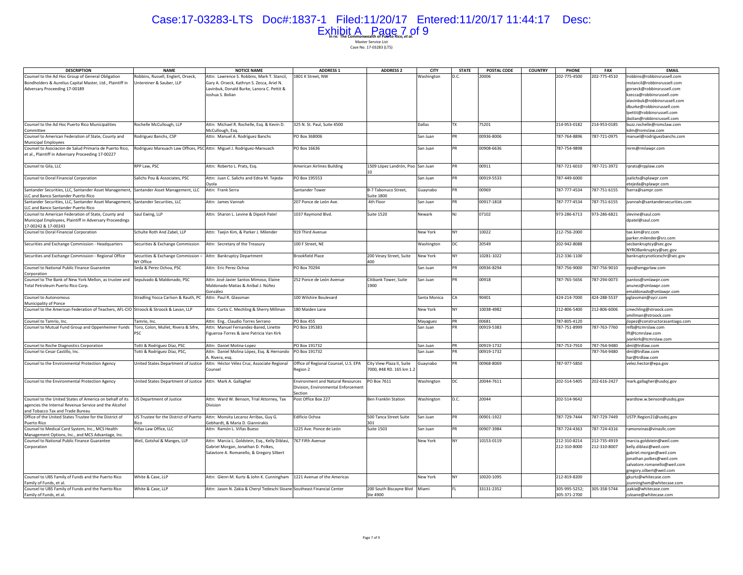# Case:17-03283-LTS Doc#:1837-1 Filed:11/20/17 Entered:11/20/17 11:44:17 Desc: Exhibit A Page 7 of 9

| <b>DESCRIPTION</b>                                                                                            | <b>NAME</b>                                                            | <b>NOTICE NAME</b>                                                       | <b>ADDRESS 1</b>                         | <b>ADDRESS 2</b>                          | <b>CITY</b>  | <b>STATE</b> | POSTAL CODE | <b>COUNTRY</b><br>PHONE       | FAX          | <b>EMAIL</b>                                            |
|---------------------------------------------------------------------------------------------------------------|------------------------------------------------------------------------|--------------------------------------------------------------------------|------------------------------------------|-------------------------------------------|--------------|--------------|-------------|-------------------------------|--------------|---------------------------------------------------------|
| Counsel to the Ad Hoc Group of General Obligation                                                             | Robbins, Russell, Englert, Orseck,                                     | Attn: Lawrence S. Robbins, Mark T. Stancil,                              | 1801 K Street, NW                        |                                           | Washington   | D.C.         | 20006       | 202-775-4500                  | 202-775-4510 | robbins@robbinsrussell.com                              |
| Bondholders & Aurelius Capital Master, Ltd., Plaintiff in                                                     | Untereiner & Sauber, LLP                                               | Gary A. Orseck, Kathryn S. Zecca, Ariel N.                               |                                          |                                           |              |              |             |                               |              | nstancil@robbinsrussell.com                             |
| Adversary Proceeding 17-00189                                                                                 |                                                                        | avinbuk, Donald Burke, Lanora C. Pettit &                                |                                          |                                           |              |              |             |                               |              | gorseck@robbinsrussell.com                              |
|                                                                                                               |                                                                        | Joshua S. Bolian                                                         |                                          |                                           |              |              |             |                               |              | kzecca@robbinsrussell.com                               |
|                                                                                                               |                                                                        |                                                                          |                                          |                                           |              |              |             |                               |              | alavinbuk@robbinsrussell.com                            |
|                                                                                                               |                                                                        |                                                                          |                                          |                                           |              |              |             |                               |              | dburke@robbinsrussell.com                               |
|                                                                                                               |                                                                        |                                                                          |                                          |                                           |              |              |             |                               |              |                                                         |
|                                                                                                               |                                                                        |                                                                          |                                          |                                           |              |              |             |                               |              | lpettit@robbinsrussell.com<br>bolian@robbinsrussell.com |
|                                                                                                               |                                                                        | Attn: Michael R. Rochelle, Esq. & Kevin D.                               | 325 N. St. Paul, Suite 4500              |                                           | Dallas       | TX           | 75201       | 214-953-0182                  | 214-953-0185 | buzz.rochelle@romclaw.com                               |
| Counsel to the Ad Hoc Puerto Rico Municipalities<br>Committee                                                 | Rochelle McCullough, LLP                                               |                                                                          |                                          |                                           |              |              |             |                               |              |                                                         |
|                                                                                                               |                                                                        | McCullough, Esq.                                                         |                                          |                                           |              |              |             |                               |              | dm@romclaw.com                                          |
| Counsel to American Federation of State, County and                                                           | Rodriguez Banchs, CSP                                                  | Attn: Manuel A. Rodríguez Banchs                                         | PO Box 368006                            |                                           | San Juan     |              | 00936-8006  | 787-764-8896                  | 787-721-0975 | manuel@rodriguezbanchs.com                              |
| <b>Municipal Employees</b>                                                                                    |                                                                        |                                                                          | PO Box 16636                             |                                           | San Juan     |              | 00908-6636  | 787-754-9898                  |              |                                                         |
| Counsel to Asociacion de Salud Primaria de Puerto Rico,<br>et al., Plaintiff in Adversary Proceeding 17-00227 | Rodriguez Marxuach Law Offices, PSC Attn: Miguel J. Rodriguez-Marxuach |                                                                          |                                          |                                           |              |              |             |                               |              | nrm@rmlawpr.com                                         |
| Counsel to Gila, LLC                                                                                          | RPP Law, PSC                                                           | Attn: Roberto L. Prats, Esq.                                             | <b>American Airlines Building</b>        | 1509 López Landrón, Piso San Juan         |              |              | 00911       | 787-721-6010                  | 787-721-3972 | rprats@rpplaw.com                                       |
|                                                                                                               |                                                                        |                                                                          |                                          | 10                                        |              |              |             |                               |              |                                                         |
| Counsel to Doral Financial Corporation                                                                        | Salichs Pou & Associates, PSC                                          | Attn: Juan C. Salichs and Edna M. Tejeda-                                | PO Box 195553                            |                                           | San Juan     | PR           | 00919-5533  | 787-449-6000                  |              | salichs@splawpr.com                                     |
|                                                                                                               |                                                                        | Oyola                                                                    |                                          |                                           |              |              |             |                               |              | tejeda@splawpr.com                                      |
| Santander Securities, LLC, Santander Asset Management, Santander Asset Management, LLC                        |                                                                        | Attn: Frank Serra                                                        | Santander Tower                          | B-7 Tabonuco Street,                      | Guaynabo     | PR           | 00969       | 787-777-4534                  | 787-751-6155 | fserra@sampr.com                                        |
| LLC and Banco Santander Puerto Rico                                                                           |                                                                        |                                                                          |                                          | Suite 1800                                |              |              |             |                               |              |                                                         |
| Santander Securities, LLC, Santander Asset Management, Santander Securities, LLC                              |                                                                        | Attn: James Vannah                                                       | 207 Ponce de León Ave.                   | 4th Floor                                 | San Juan     | <b>PR</b>    | 00917-1818  | 787-777-4534                  | 787-751-6155 | vannah@santandersecurities.com                          |
| LLC and Banco Santander Puerto Rico                                                                           |                                                                        |                                                                          |                                          |                                           |              |              |             |                               |              |                                                         |
| Counsel to American Federation of State, County and                                                           | Saul Ewing, LLP                                                        | Attn: Sharon L. Levine & Dipesh Patel                                    | 1037 Raymond Blvd.                       | <b>Suite 1520</b>                         | Newark       | NJ.          | 07102       | 973-286-6713                  | 973-286-6821 | slevine@saul.com                                        |
| Municipal Employees, Plaintiff in Adversary Proceedings                                                       |                                                                        |                                                                          |                                          |                                           |              |              |             |                               |              | dpatel@saul.com                                         |
| 17-00242 & 17-00243                                                                                           |                                                                        |                                                                          |                                          |                                           |              |              |             |                               |              |                                                         |
| Counsel to Doral Financial Corporation                                                                        | Schulte Roth And Zabel, LLP                                            | Attn: Taejin Kim, & Parker J. Milender                                   | 919 Third Avenue                         |                                           | New York     | NY.          | 10022       | 212-756-2000                  |              | tae.kim@srz.com                                         |
|                                                                                                               |                                                                        |                                                                          |                                          |                                           |              |              |             | 202-942-8088                  |              | parker.milender@srz.com                                 |
| Securities and Exchange Commission - Headquarters                                                             | Securities & Exchange Commission                                       | Attn: Secretary of the Treasury                                          | 100 F Street, NE                         |                                           | Washington   | DC           | 20549       |                               |              | secbankruptcy@sec.gov                                   |
|                                                                                                               |                                                                        |                                                                          | <b>Brookfield Place</b>                  |                                           |              |              | 10281-1022  | 212-336-1100                  |              | NYROBankruptcy@sec.gov                                  |
| Securities and Exchange Commission - Regional Office                                                          | Securities & Exchange Commission -<br>NY Office                        | Attn: Bankruptcy Department                                              |                                          | 200 Vesey Street, Suite<br>400            | New York     | NY           |             |                               |              | bankruptcynoticeschr@sec.gov                            |
| Counsel to National Public Finance Guarantee                                                                  | Seda & Perez Ochoa, PSC                                                | Attn: Eric Perez Ochoa                                                   | PO Box 70294                             |                                           | San Juan     | PR           | 00936-8294  | 787-756-9000                  | 787-756-9010 | po@amgprlaw.com                                         |
| Corporation<br>Counsel to The Bank of New York Mellon, as trustee and Sepulvado & Maldonado, PSC              |                                                                        | Attn: José Javier Santos Mimoso, Elaine                                  | 252 Ponce de León Avenue                 | Citibank Tower, Suite                     | San Juan     |              | 00918       | 787-765-5656                  | 787-294-0073 | santos@smlawpr.com                                      |
| Total Petroleum Puerto Rico Corp.                                                                             |                                                                        | Maldonado Matias & Aníbal J. Núñez                                       |                                          | 1900                                      |              |              |             |                               |              | anunez@smlawpr.com                                      |
|                                                                                                               |                                                                        | González                                                                 |                                          |                                           |              |              |             |                               |              | maldonado@smlawpr.com                                   |
| Counsel to Autonomous                                                                                         | Stradling Yocca Carlson & Rauth, PC                                    | Attn: Paul R. Glassman                                                   | 100 Wilshire Boulevard                   |                                           | Santa Monica | CA           | 90401       | 424-214-7000                  | 424-288-5537 |                                                         |
| Municipality of Ponce                                                                                         |                                                                        |                                                                          |                                          |                                           |              |              |             |                               |              | pglassman@sycr.com                                      |
| Counsel to the American Federation of Teachers, AFL-CIO Stroock & Stroock & Lavan, LLP                        |                                                                        | Attn: Curtis C. Mechling & Sherry Millman                                | 180 Maiden Lane                          |                                           | New York     | NY           | 10038-4982  | 212-806-5400                  | 212-806-6006 | mechling@stroock.com                                    |
|                                                                                                               |                                                                        |                                                                          |                                          |                                           |              |              |             |                               |              | millman@stroock.com                                     |
| Counsel to Tamrio, Inc.                                                                                       | Tamrio, Inc.                                                           | Attn: Eng Claudio Torres Serrano                                         | PO Box 455                               |                                           | Mayaguez     | PR           | 00681       | 787-805-4120                  |              | lopez@constructorasantiago.com                          |
| Counsel to Mutual Fund Group and Oppenheimer Funds                                                            | Toro, Colon, Mullet, Rivera & Sifre,                                   | Attn: Manuel Fernandez-Bared, Linette                                    | PO Box 195383                            |                                           | San Juan     | PR           | 00919-5383  | 787-751-8999                  | 787-763-7760 | nfb@tcmrslaw.com                                        |
|                                                                                                               | <b>PSC</b>                                                             | igueroa-Torres & Jane Patricia Van Kirk                                  |                                          |                                           |              |              |             |                               |              | ft@tcmrslaw.com                                         |
|                                                                                                               |                                                                        |                                                                          |                                          |                                           |              |              |             |                               |              | vankirk@tcmrslaw.com                                    |
| Counsel to Roche Diagnostics Corporation                                                                      | Totti & Rodríguez Díaz, PSC                                            | Attn: Daniel Molina-Lopez                                                | PO Box 191732                            |                                           | San Juan     | PR           | 00919-1732  | 787-753-7910                  | 787-764-9480 | ml@trdlaw.com                                           |
| Counsel to Cesar Castillo, Inc.                                                                               | otti & Rodríguez Díaz, PSC,                                            | Attn: Daniel Molina López, Esg. & Hernando                               | PO Box 191732                            |                                           | San Juan     |              | 00919-1732  |                               | 787-764-9480 | ml@trdlaw.com                                           |
|                                                                                                               |                                                                        | Rivera, esg.                                                             |                                          |                                           |              |              |             |                               |              | ar@trdlaw.com                                           |
| Counsel to the Environmental Protection Agency                                                                | United States Department of Justice                                    | Attn: Héctor Vélez Cruz, Associate Regional                              | Office of Regional Counsel, U.S. EPA     | City View Plaza II, Suite                 | Guaynabo     |              | 00968-8069  | 787-977-5850                  |              | velez.hector@epa.gov                                    |
|                                                                                                               |                                                                        | Counsel                                                                  | Region 2                                 | 7000, #48 RD. 165 km 1.2                  |              |              |             |                               |              |                                                         |
|                                                                                                               |                                                                        |                                                                          |                                          |                                           |              |              |             |                               |              |                                                         |
| Counsel to the Environmental Protection Agency                                                                | United States Department of Justice Attn: Mark A. Gallagher            |                                                                          | <b>Environment and Natural Resources</b> | PO Box 7611                               | Washington   | DC.          | 20044-7611  | 202-514-5405                  | 202-616-2427 | mark.gallagher@usdoj.gov                                |
|                                                                                                               |                                                                        |                                                                          | Division, Environmental Enforcement      |                                           |              |              |             |                               |              |                                                         |
|                                                                                                               |                                                                        |                                                                          | Section                                  |                                           |              |              |             |                               |              |                                                         |
| Counsel to the United States of America on behalf of its                                                      | US Department of Justice                                               | Attn: Ward W. Benson, Trial Attorney, Tax                                | Post Office Box 227                      | Ben Franklin Station                      | Washington   | D.C.         | 20044       | 202-514-9642                  |              | wardlow.w.benson@usdoj.gov                              |
| agencies the Internal Revenue Service and the Alcohol                                                         |                                                                        | Division                                                                 |                                          |                                           |              |              |             |                               |              |                                                         |
| and Tobacco Tax and Trade Bureau                                                                              |                                                                        |                                                                          |                                          |                                           |              |              |             |                               |              |                                                         |
| Office of the United States Trustee for the District of                                                       | US Trustee for the District of Puerto                                  | Attn: Monsita Lecaroz Arribas, Guy G.                                    | <b>Edificio Ochoa</b>                    | 500 Tanca Street Suite                    | San Juan     |              | 00901-1922  | 787-729-7444                  | 787-729-7449 | USTP.Region21@usdoj.gov                                 |
| Puerto Rico                                                                                                   | Rico                                                                   | Gebhardt, & Maria D. Giannirakis                                         |                                          | 301                                       |              |              |             |                               |              |                                                         |
| Counsel to Medical Card System, Inc., MCS Health                                                              | Viñas Law Office, LLC                                                  | Attn: Ramón L. Viñas Bueso                                               | 1225 Ave. Ponce de León                  | <b>Suite 1503</b>                         | San Juan     |              | 00907-3984  | 787-724-4363                  | 787-724-4316 | ramonvinas@vinasllc.com                                 |
| Management Options, Inc., and MCS Advantage, Inc.                                                             |                                                                        |                                                                          |                                          |                                           |              |              |             |                               |              |                                                         |
| Counsel to National Public Finance Guarantee                                                                  | Weil, Gotshal & Manges, LLP                                            | Attn: Marcia L. Goldstein, Esg., Kelly Diblasi,                          | 767 Fifth Avenue                         |                                           | New York     | NV           | 10153-0119  | 212-310-8214                  | 212-735-4919 | marcia.goldstein@weil.com                               |
| Corporation                                                                                                   |                                                                        | Gabriel Morgan, Jonathan D. Polkes,                                      |                                          |                                           |              |              |             | 212-310-8000                  | 212-310-8007 | kelly.diblasi@weil.com                                  |
|                                                                                                               |                                                                        | Salavtore A. Romanello, & Gregory Silbert                                |                                          |                                           |              |              |             |                               |              | gabriel.morgan@weil.com                                 |
|                                                                                                               |                                                                        |                                                                          |                                          |                                           |              |              |             |                               |              | jonathan.polkes@weil.com                                |
|                                                                                                               |                                                                        |                                                                          |                                          |                                           |              |              |             |                               |              |                                                         |
|                                                                                                               |                                                                        |                                                                          |                                          |                                           |              |              |             |                               |              | salvatore.romanello@weil.com                            |
|                                                                                                               |                                                                        |                                                                          |                                          |                                           |              | NY           |             |                               |              | gregory.silbert@weil.com                                |
| Counsel to UBS Family of Funds and the Puerto Rico                                                            | White & Case, LLP                                                      | Attn: Glenn M. Kurtz & John K. Cunningham                                | 1221 Avenue of the Americas              |                                           | New York     |              | 10020-1095  | 212-819-8200                  |              | gkurtz@whitecase.com                                    |
| Family of Funds, et al.                                                                                       |                                                                        |                                                                          |                                          |                                           |              |              |             |                               |              |                                                         |
|                                                                                                               |                                                                        |                                                                          |                                          |                                           |              |              |             |                               |              | cunningham@whitecase.com                                |
| Counsel to UBS Family of Funds and the Puerto Rico<br>Family of Funds, et al.                                 | White & Case, LLP                                                      | Attn: Jason N. Zakia & Cheryl Tedeschi Sloane Southeast Financial Center |                                          | 200 South Biscayne Blvd Miami<br>Ste 4900 |              |              | 33131-2352  | 305-995-5252;<br>305-371-2700 | 305-358-5744 | zakia@whitecase.com<br>csloane@whitecase.com            |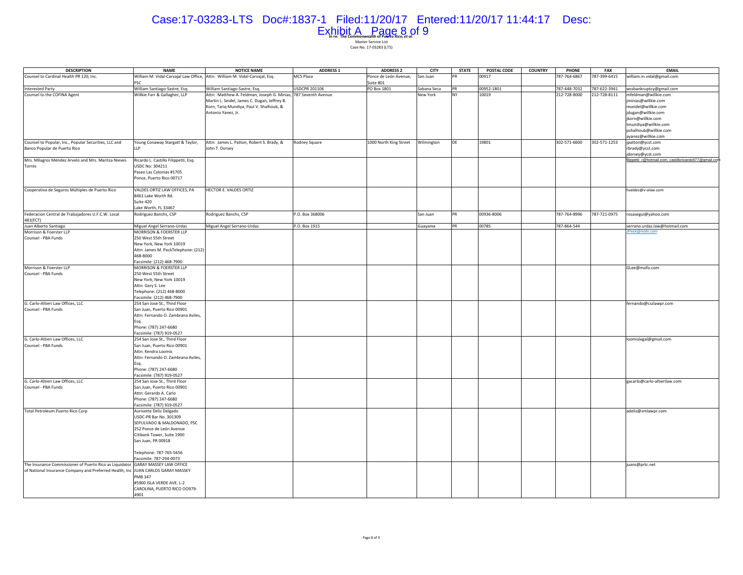# Case:17-03283-LTS Doc#:1837-1 Filed:11/20/17 Entered:11/20/17 11:44:17 Desc: Exhibit A Page 8 of 9

| <b>DESCRIPTION</b>                                                               | <b>NAME</b>                                                                 | <b>NOTICE NAME</b>                                             | <b>ADDRESS 1</b>     | <b>ADDRESS 2</b>       | <b>CITY</b> | <b>STATE</b> | POSTAL CODE | <b>COUNTRY</b> | PHONE        | FAX          | <b>EMAIL</b>                                                               |
|----------------------------------------------------------------------------------|-----------------------------------------------------------------------------|----------------------------------------------------------------|----------------------|------------------------|-------------|--------------|-------------|----------------|--------------|--------------|----------------------------------------------------------------------------|
| Counsel to Cardinal Health PR 120, Inc.                                          | William M. Vidal-Carvajal Law Office, Attn: William M. Vidal-Carvajal, Esg. |                                                                | MCS Plaza            | Ponce de León Avenue,  | San Juan    |              | 00917       |                | 787-764-6867 | 787-399-6415 | william.m.vidal@gmail.com                                                  |
|                                                                                  | PSC                                                                         |                                                                |                      | Suite 801              |             |              |             |                |              |              |                                                                            |
| <b>Interested Party</b>                                                          | William Santiago-Sastre, Esq.                                               | William Santiago-Sastre, Esq.                                  | <b>USDCPR 201106</b> | PO Box 1801            | Sabana Seca | <b>PR</b>    | 00952-1801  |                | 787-448-7032 | 787-622-3941 | wssbankruptcy@gmail.com                                                    |
| Counsel to the COFINA Agent                                                      | Willkie Farr & Gallagher, LLP                                               | Attn: Matthew A. Feldman, Joseph G. Minias, 787 Seventh Avenue |                      |                        | New York    |              | 10019       |                | 212-728-8000 | 212-728-8111 | mfeldman@willkie.com                                                       |
|                                                                                  |                                                                             | Martin L. Seidel, James C. Dugan, Jeffrey B.                   |                      |                        |             |              |             |                |              |              | ninias@willkie.com                                                         |
|                                                                                  |                                                                             | Korn, Tariq Mundiya, Paul V. Shalhoub, &                       |                      |                        |             |              |             |                |              |              | mseidel@willkie.com                                                        |
|                                                                                  |                                                                             | Antonio Yanez, Jr.                                             |                      |                        |             |              |             |                |              |              | jdugan@willkie.com                                                         |
|                                                                                  |                                                                             |                                                                |                      |                        |             |              |             |                |              |              | jkorn@willkie.com                                                          |
|                                                                                  |                                                                             |                                                                |                      |                        |             |              |             |                |              |              | tmundiya@willkie.com                                                       |
|                                                                                  |                                                                             |                                                                |                      |                        |             |              |             |                |              |              | pshalhoub@willkie.com                                                      |
|                                                                                  |                                                                             |                                                                |                      |                        |             |              |             |                |              |              | ayanez@willkie.com                                                         |
| Counsel to Popular, Inc., Popular Securities, LLC and                            | Young Conaway Stargatt & Taylor,                                            | Attn: James L. Patton, Robert S. Brady, &                      | Rodney Square        | 1000 North King Street | Wilmington  | DE           | 19801       |                | 302-571-6600 | 302-571-1253 | jpatton@ycst.com                                                           |
| Banco Popular de Puerto Rico                                                     | <b>LLP</b>                                                                  | John T. Dorsey                                                 |                      |                        |             |              |             |                |              |              | rbrady@ycst.com                                                            |
|                                                                                  |                                                                             |                                                                |                      |                        |             |              |             |                |              |              | jdorsey@ycst.com<br>filippetti_r@hotmail.com; castilloricardo977@gmail.com |
| Mrs. Milagros Méndez Arvelo and Mrs. Maritza Nieves<br>Torres                    | Ricardo L. Castillo Filippetti, Esq.<br>USDC No: 304211                     |                                                                |                      |                        |             |              |             |                |              |              |                                                                            |
|                                                                                  | Paseo Las Colonias #1705                                                    |                                                                |                      |                        |             |              |             |                |              |              |                                                                            |
|                                                                                  | Ponce, Puerto Rico 00717                                                    |                                                                |                      |                        |             |              |             |                |              |              |                                                                            |
|                                                                                  |                                                                             |                                                                |                      |                        |             |              |             |                |              |              |                                                                            |
| Cooperativa de Seguros Múltiples de Puerto Rico                                  | VALDES ORTIZ LAW OFFICES, PA                                                | HECTOR E. VALDES ORTIZ                                         |                      |                        |             |              |             |                |              |              | hvaldes@v-olaw.com                                                         |
|                                                                                  | 8461 Lake Worth Rd.                                                         |                                                                |                      |                        |             |              |             |                |              |              |                                                                            |
|                                                                                  | Suite 420                                                                   |                                                                |                      |                        |             |              |             |                |              |              |                                                                            |
|                                                                                  | Lake Worth, FL 33467                                                        |                                                                |                      |                        |             |              |             |                |              |              |                                                                            |
| Federacion Central de Trabajadores U.F.C.W. Local                                | Rodriguez Banchs, CSP                                                       | Rodriguez Banchs, CSP                                          | P.O. Box 368006      |                        | San Juan    | PR           | 00936-8006  |                | 787-764-8996 | 787-721-0975 | rosasegui@yahoo.com                                                        |
| 481(FCT)                                                                         |                                                                             |                                                                |                      |                        |             |              |             |                |              |              |                                                                            |
| Juan Alberto Santiago                                                            | Miguel Angel Serrano-Urdaz                                                  | Miguel Angel Serrano-Urdaz                                     | P.O. Box 1915        |                        | Guayama     |              | 00785       |                | 787-864-544  |              | serrano.urdaz.law@hotmail.com                                              |
| Morrison & Foerster LLP                                                          | MORRISON & FOERSTER LLP                                                     |                                                                |                      |                        |             |              |             |                |              |              | <b>JPeck@mofo.com</b>                                                      |
| Counsel - PBA Funds                                                              | 250 West 55th Street                                                        |                                                                |                      |                        |             |              |             |                |              |              |                                                                            |
|                                                                                  | New York, New York 10019                                                    |                                                                |                      |                        |             |              |             |                |              |              |                                                                            |
|                                                                                  | Attn: James M. PeckTelephone: (212)                                         |                                                                |                      |                        |             |              |             |                |              |              |                                                                            |
|                                                                                  | 468-8000                                                                    |                                                                |                      |                        |             |              |             |                |              |              |                                                                            |
|                                                                                  | Facsimile: (212) 468-7900                                                   |                                                                |                      |                        |             |              |             |                |              |              |                                                                            |
| Morrison & Foerster LLP                                                          | MORRISON & FOERSTER LLP                                                     |                                                                |                      |                        |             |              |             |                |              |              | GLee@mofo.com                                                              |
| Counsel - PBA Funds                                                              | 250 West 55th Street                                                        |                                                                |                      |                        |             |              |             |                |              |              |                                                                            |
|                                                                                  | New York, New York 10019                                                    |                                                                |                      |                        |             |              |             |                |              |              |                                                                            |
|                                                                                  | Attn: Gary S. Lee                                                           |                                                                |                      |                        |             |              |             |                |              |              |                                                                            |
|                                                                                  | Telephone: (212) 468-8000                                                   |                                                                |                      |                        |             |              |             |                |              |              |                                                                            |
|                                                                                  | acsimile: (212) 468-7900                                                    |                                                                |                      |                        |             |              |             |                |              |              |                                                                            |
| G. Carlo-Altieri Law Offices, LLC                                                | 254 San Jose St., Third Floor                                               |                                                                |                      |                        |             |              |             |                |              |              | fernando@cszlawpr.com                                                      |
| Counsel - PBA Funds                                                              | San Juan, Puerto Rico 00901                                                 |                                                                |                      |                        |             |              |             |                |              |              |                                                                            |
|                                                                                  | Attn: Fernando O. Zambrana Aviles,                                          |                                                                |                      |                        |             |              |             |                |              |              |                                                                            |
|                                                                                  | Esq.                                                                        |                                                                |                      |                        |             |              |             |                |              |              |                                                                            |
|                                                                                  | Phone: (787) 247-6680                                                       |                                                                |                      |                        |             |              |             |                |              |              |                                                                            |
|                                                                                  | Facsimile: (787) 919-0527                                                   |                                                                |                      |                        |             |              |             |                |              |              |                                                                            |
| G. Carlo-Altieri Law Offices, LLC                                                | 254 San Jose St., Third Floor                                               |                                                                |                      |                        |             |              |             |                |              |              | loomislegal@gmail.com                                                      |
| Counsel - PBA Funds                                                              | San Juan, Puerto Rico 00901                                                 |                                                                |                      |                        |             |              |             |                |              |              |                                                                            |
|                                                                                  | Attn: Kendra Loomis                                                         |                                                                |                      |                        |             |              |             |                |              |              |                                                                            |
|                                                                                  | Attn: Fernando O. Zambrana Aviles,                                          |                                                                |                      |                        |             |              |             |                |              |              |                                                                            |
|                                                                                  | Esq.                                                                        |                                                                |                      |                        |             |              |             |                |              |              |                                                                            |
|                                                                                  | Phone: (787) 247-6680<br>Facsimile: (787) 919-0527                          |                                                                |                      |                        |             |              |             |                |              |              |                                                                            |
| G. Carlo-Altieri Law Offices, LLC                                                | 254 San Jose St., Third Floor                                               |                                                                |                      |                        |             |              |             |                |              |              | gacarlo@carlo-altierilaw.com                                               |
| Counsel - PBA Funds                                                              | San Juan, Puerto Rico 00901                                                 |                                                                |                      |                        |             |              |             |                |              |              |                                                                            |
|                                                                                  | Attn: Gerardo A. Carlo                                                      |                                                                |                      |                        |             |              |             |                |              |              |                                                                            |
|                                                                                  | Phone: (787) 247-6680                                                       |                                                                |                      |                        |             |              |             |                |              |              |                                                                            |
|                                                                                  | Facsimile: (787) 919-0527                                                   |                                                                |                      |                        |             |              |             |                |              |              |                                                                            |
| Total Petroleum Puerto Rico Corp                                                 | Aurivette Deliz Delgado                                                     |                                                                |                      |                        |             |              |             |                |              |              | adeliz@smlawpr.com                                                         |
|                                                                                  | USDC-PR Bar No. 301309                                                      |                                                                |                      |                        |             |              |             |                |              |              |                                                                            |
|                                                                                  | SEPULVADO & MALDONADO, PSC                                                  |                                                                |                      |                        |             |              |             |                |              |              |                                                                            |
|                                                                                  | 252 Ponce de León Avenue                                                    |                                                                |                      |                        |             |              |             |                |              |              |                                                                            |
|                                                                                  | Citibank Tower, Suite 1900                                                  |                                                                |                      |                        |             |              |             |                |              |              |                                                                            |
|                                                                                  | San Juan, PR 00918                                                          |                                                                |                      |                        |             |              |             |                |              |              |                                                                            |
|                                                                                  |                                                                             |                                                                |                      |                        |             |              |             |                |              |              |                                                                            |
|                                                                                  | Telephone: 787-765-5656                                                     |                                                                |                      |                        |             |              |             |                |              |              |                                                                            |
|                                                                                  | Facsimile: 787-294-0073                                                     |                                                                |                      |                        |             |              |             |                |              |              |                                                                            |
| The Insurance Commissioner of Puerto Rico as Liquidator GARAY MASSEY LAW OFFICE  |                                                                             |                                                                |                      |                        |             |              |             |                |              |              | juans@prtc.net                                                             |
| of National Insurance Company and Preferred Health, Inc JUAN CARLOS GARAY MASSEY |                                                                             |                                                                |                      |                        |             |              |             |                |              |              |                                                                            |
|                                                                                  | <b>PMB 347</b>                                                              |                                                                |                      |                        |             |              |             |                |              |              |                                                                            |
|                                                                                  | #5900 ISLA VERDE AVE, L-2                                                   |                                                                |                      |                        |             |              |             |                |              |              |                                                                            |
|                                                                                  | CAROLINA, PUERTO RICO 00979-                                                |                                                                |                      |                        |             |              |             |                |              |              |                                                                            |
|                                                                                  | 4901                                                                        |                                                                |                      |                        |             |              |             |                |              |              |                                                                            |
|                                                                                  |                                                                             |                                                                |                      |                        |             |              |             |                |              |              |                                                                            |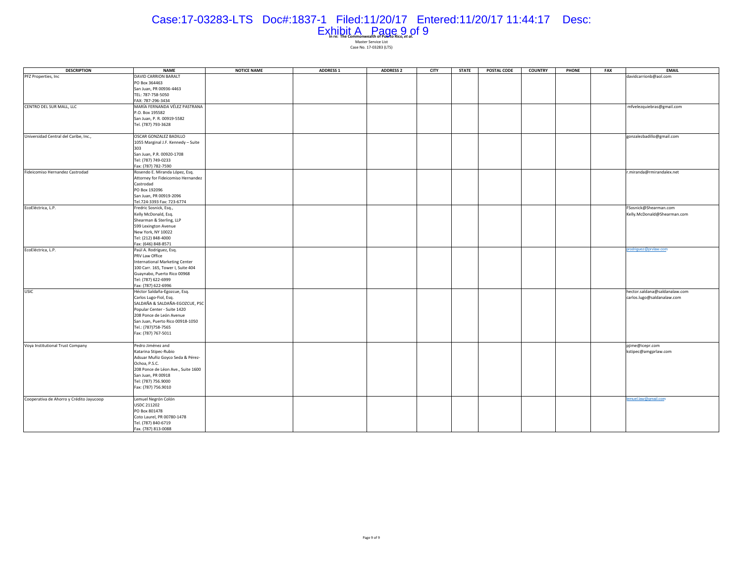#### Case:17-03283-LTS Doc#:1837-1 Filed:11/20/17 Entered:11/20/17 11:44:17 Desc:

| <b>DESCRIPTION</b>                       | NAME                               | <b>NOTICE NAME</b> | <b>ADDRESS 1</b> | <b>ADDRESS 2</b> | CITY | <b>STATE</b> | <b>POSTAL CODE</b> | <b>COUNTRY</b> | <b>PHONE</b> | FAX | <b>EMAIL</b>                  |
|------------------------------------------|------------------------------------|--------------------|------------------|------------------|------|--------------|--------------------|----------------|--------------|-----|-------------------------------|
| PFZ Properties, Inc                      | <b>DAVID CARRION BARALT</b>        |                    |                  |                  |      |              |                    |                |              |     | davidcarrionb@aol.com         |
|                                          | PO Box 364463                      |                    |                  |                  |      |              |                    |                |              |     |                               |
|                                          | San Juan, PR 00936-4463            |                    |                  |                  |      |              |                    |                |              |     |                               |
|                                          | TEL: 787-758-5050                  |                    |                  |                  |      |              |                    |                |              |     |                               |
|                                          | FAX: 787-296-3434                  |                    |                  |                  |      |              |                    |                |              |     |                               |
| CENTRO DEL SUR MALL, LLC                 | MARÍA FERNANDA VÉLEZ PASTRANA      |                    |                  |                  |      |              |                    |                |              |     | mfvelezquiebras@gmail.com     |
|                                          | P.O. Box 195582                    |                    |                  |                  |      |              |                    |                |              |     |                               |
|                                          | San Juan, P. R. 00919-5582         |                    |                  |                  |      |              |                    |                |              |     |                               |
|                                          | Tel. (787) 793-3628                |                    |                  |                  |      |              |                    |                |              |     |                               |
|                                          |                                    |                    |                  |                  |      |              |                    |                |              |     |                               |
| Universidad Central del Caribe, Inc.,    | OSCAR GONZALEZ BADILLO             |                    |                  |                  |      |              |                    |                |              |     |                               |
|                                          |                                    |                    |                  |                  |      |              |                    |                |              |     | gonzalezbadillo@gmail.com     |
|                                          | 1055 Marginal J.F. Kennedy - Suite |                    |                  |                  |      |              |                    |                |              |     |                               |
|                                          | 303                                |                    |                  |                  |      |              |                    |                |              |     |                               |
|                                          | San Juan, P.R. 00920-1708          |                    |                  |                  |      |              |                    |                |              |     |                               |
|                                          | Tel: (787) 749-0233                |                    |                  |                  |      |              |                    |                |              |     |                               |
|                                          | Fax: (787) 782-7590                |                    |                  |                  |      |              |                    |                |              |     |                               |
| Fideicomiso Hernandez Castrodad          | Rosendo E. Miranda López, Esq.     |                    |                  |                  |      |              |                    |                |              |     | r.miranda@rmirandalex.net     |
|                                          | Attorney for Fideicomiso Hernandez |                    |                  |                  |      |              |                    |                |              |     |                               |
|                                          | Castrodad                          |                    |                  |                  |      |              |                    |                |              |     |                               |
|                                          | PO Box 192096                      |                    |                  |                  |      |              |                    |                |              |     |                               |
|                                          | San Juan, PR 00919-2096            |                    |                  |                  |      |              |                    |                |              |     |                               |
|                                          | Tel.724-3393 Fax: 723-6774         |                    |                  |                  |      |              |                    |                |              |     |                               |
| EcoEléctrica, L.P.                       | Fredric Sosnick, Esq.,             |                    |                  |                  |      |              |                    |                |              |     | FSosnick@Shearman.com         |
|                                          | Kelly McDonald, Esq.               |                    |                  |                  |      |              |                    |                |              |     | Kelly.McDonald@Shearman.com   |
|                                          | Shearman & Sterling, LLP           |                    |                  |                  |      |              |                    |                |              |     |                               |
|                                          | 599 Lexington Avenue               |                    |                  |                  |      |              |                    |                |              |     |                               |
|                                          | New York, NY 10022                 |                    |                  |                  |      |              |                    |                |              |     |                               |
|                                          | Tel: (212) 848-4000                |                    |                  |                  |      |              |                    |                |              |     |                               |
|                                          | Fax: (646) 848-8571                |                    |                  |                  |      |              |                    |                |              |     |                               |
| EcoEléctrica, L.P.                       | Paúl A. Rodríguez, Esq.            |                    |                  |                  |      |              |                    |                |              |     | prodriguez@prvlaw.com         |
|                                          | PRV Law Office                     |                    |                  |                  |      |              |                    |                |              |     |                               |
|                                          | International Marketing Center     |                    |                  |                  |      |              |                    |                |              |     |                               |
|                                          | 100 Carr. 165, Tower I, Suite 404  |                    |                  |                  |      |              |                    |                |              |     |                               |
|                                          |                                    |                    |                  |                  |      |              |                    |                |              |     |                               |
|                                          | Guaynabo, Puerto Rico 00968        |                    |                  |                  |      |              |                    |                |              |     |                               |
|                                          | Tel: (787) 622-6999                |                    |                  |                  |      |              |                    |                |              |     |                               |
|                                          | Fax: (787) 622-6996                |                    |                  |                  |      |              |                    |                |              |     |                               |
| <b>USIC</b>                              | Héctor Saldaña-Egozcue, Esq.       |                    |                  |                  |      |              |                    |                |              |     | hector.saldana@saldanalaw.com |
|                                          | Carlos Lugo-Fiol, Esq.             |                    |                  |                  |      |              |                    |                |              |     | carlos.lugo@saldanalaw.com    |
|                                          | SALDAÑA & SALDAÑA-EGOZCUE, PSC     |                    |                  |                  |      |              |                    |                |              |     |                               |
|                                          | Popular Center - Suite 1420        |                    |                  |                  |      |              |                    |                |              |     |                               |
|                                          | 208 Ponce de León Avenue           |                    |                  |                  |      |              |                    |                |              |     |                               |
|                                          | San Juan, Puerto Rico 00918-1050   |                    |                  |                  |      |              |                    |                |              |     |                               |
|                                          | Tel.: (787)758-7565                |                    |                  |                  |      |              |                    |                |              |     |                               |
|                                          | Fax: (787) 767-5011                |                    |                  |                  |      |              |                    |                |              |     |                               |
|                                          |                                    |                    |                  |                  |      |              |                    |                |              |     |                               |
| Voya Institutional Trust Company         | Pedro Jiménez and                  |                    |                  |                  |      |              |                    |                |              |     | pjime@icepr.com               |
|                                          | Katarina Stipec-Rubio              |                    |                  |                  |      |              |                    |                |              |     | kstipec@amgprlaw.com          |
|                                          | Adsuar Muñiz Goyco Seda & Pérez-   |                    |                  |                  |      |              |                    |                |              |     |                               |
|                                          | Ochoa, P.S.C.                      |                    |                  |                  |      |              |                    |                |              |     |                               |
|                                          | 208 Ponce de Léon Ave., Suite 1600 |                    |                  |                  |      |              |                    |                |              |     |                               |
|                                          | San Juan, PR 00918                 |                    |                  |                  |      |              |                    |                |              |     |                               |
|                                          | Tel: (787) 756.9000                |                    |                  |                  |      |              |                    |                |              |     |                               |
|                                          | Fax: (787) 756.9010                |                    |                  |                  |      |              |                    |                |              |     |                               |
|                                          |                                    |                    |                  |                  |      |              |                    |                |              |     |                               |
| Cooperativa de Ahorro y Crédito Jayucoop | Lemuel Negrón Colón                |                    |                  |                  |      |              |                    |                |              |     | lemuel.law@gmail.com          |
|                                          | <b>USDC 211202</b>                 |                    |                  |                  |      |              |                    |                |              |     |                               |
|                                          | PO Box 801478                      |                    |                  |                  |      |              |                    |                |              |     |                               |
|                                          |                                    |                    |                  |                  |      |              |                    |                |              |     |                               |
|                                          | Coto Laurel, PR 00780-1478         |                    |                  |                  |      |              |                    |                |              |     |                               |
|                                          | Tel. (787) 840-6719                |                    |                  |                  |      |              |                    |                |              |     |                               |
|                                          | Fax. (787) 813-0088                |                    |                  |                  |      |              |                    |                |              |     |                               |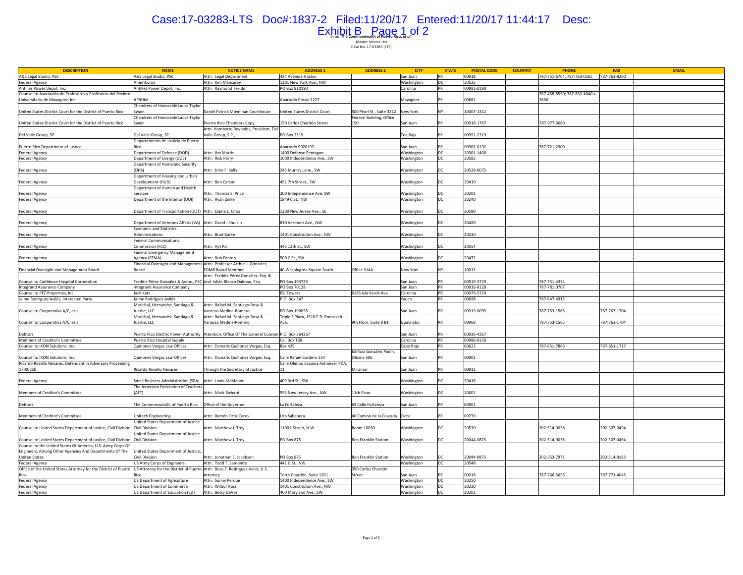#### Case:17-03283-LTS Doc#:1837-2 Filed:11/20/17 Entered:11/20/17 11:44:17 Desc:Exhibit B Page 1 of 2

**In re: The Commonwealth of Puerto Rico,** *et al.***<br>Master Service List<br>Case No. 17-03283 (LTS)** 

**DESCRIPTION NAME NOTICE NAME ADDRESS 1 ADDRESS 2CITY**<br> **CITY CITY CITY CITY CITY CITY CITY CITY CITY CITY CITY CITY CITY CITY CITY CITY CITY CITY CITY CITY CITY CITY CITY CITY CITY CITY CITY CITY CITY CITY CIT** A&S Legal Studio, PSC MEXICAL ARES Legal Studio, PSC Attn: Legal Department 434 Avenida Hostos San Juan PR 00918 787-751-6764; 787-753-0565 787-763-0565 787-763-0565 787-763-0565 787-763-0565 787-763-0566 787-763-8260 FeriCorps Mattn: Kim Mansaray 1201 New York Ave., NW Washington DC 20525<br>The Power Depot, Inc. Attn: Raymond Texidor PO Box 810190 (Carolina PR 00981-0190

Antilles Power Depot, Inc.

Counsel to Asociación de Profesores y Profesoras del Recinto

**EMAIL**

787-458-8550; 787-832-4040 x.

| Universitario de Mayagüez, Inc.                                               | APRUM                                                                      |                                                                        | Apartado Postal 2227                |                             | Mayagüez   | PR             | 00681      | 2656         |              |
|-------------------------------------------------------------------------------|----------------------------------------------------------------------------|------------------------------------------------------------------------|-------------------------------------|-----------------------------|------------|----------------|------------|--------------|--------------|
|                                                                               | Chambers of Honorable Laura Taylor                                         |                                                                        |                                     |                             |            |                |            |              |              |
| United States District Court for the District of Puerto Rico                  | Swain                                                                      | Daniel Patrick Moynihan Courthouse                                     | United States District Court        | 500 Pearl St., Suite 3212   | New York   | NY             | 10007-1312 |              |              |
|                                                                               | Chambers of Honorable Laura Taylor                                         |                                                                        |                                     | Federal Building, Office    |            |                |            |              |              |
| United States District Court for the District of Puerto Rico                  | Swain                                                                      | Puerto Rico Chambers Copy                                              | 150 Carlos Chardón Street           | 150                         | San Juan   |                | 00918-1767 | 787-977-6080 |              |
|                                                                               |                                                                            | Attn. Humberto Reynolds, President, Del                                |                                     |                             |            |                |            |              |              |
| Del Valle Group, SP                                                           | Del Valle Group, SP                                                        | Valle Group, S.P.,                                                     | PO Box 2319                         |                             | Toa Baja   | PR             | 00951-2319 |              |              |
|                                                                               | Departamento de Justicia de Puerto                                         |                                                                        |                                     |                             |            |                |            |              |              |
| Puerto Rico Department of Justice                                             | Rico                                                                       |                                                                        | Apartado 9020192                    |                             | San Juan   |                | 00902-0192 | 787-721-2900 |              |
| <b>Federal Agency</b>                                                         | Department of Defense (DOD)                                                | Attn: Jim Mattis                                                       | 1400 Defense Pentagon               |                             | Washington | $\overline{p}$ | 20301-1400 |              |              |
|                                                                               | Department of Energy (DOE)                                                 | Attn: Rick Perry                                                       | 1000 Independence Ave., SW          |                             |            | DC             | 20585      |              |              |
| <b>Federal Agency</b>                                                         |                                                                            |                                                                        |                                     |                             | Washington |                |            |              |              |
|                                                                               | Department of Homeland Security                                            |                                                                        |                                     |                             |            |                |            |              |              |
| <b>Federal Agency</b>                                                         | (DHS)                                                                      | Attn: John F. Kelly                                                    | 245 Murray Lane., SW                |                             | Washington | DC             | 20528-0075 |              |              |
|                                                                               | Department of Housing and Urban                                            |                                                                        |                                     |                             |            |                |            |              |              |
| <b>Federal Agency</b>                                                         | Development (HUD)                                                          | Attn: Ben Carson                                                       | 451 7th Street., SW                 |                             | Washington | DC             | 20410      |              |              |
|                                                                               | Department of Human and Health                                             |                                                                        |                                     |                             |            |                |            |              |              |
| <b>Federal Agency</b>                                                         | Services                                                                   | Attn: Thomas E. Price                                                  | 200 Independence Ave, SW            |                             | Washington | DC             | 20201      |              |              |
| <b>Federal Agency</b>                                                         | Department of the Interior (DOI)                                           | Attn: Ryan Zinke                                                       | 1849 C St., NW                      |                             | Washington | DC             | 20240      |              |              |
|                                                                               |                                                                            |                                                                        |                                     |                             |            |                |            |              |              |
| <b>Federal Agency</b>                                                         | Department of Transportation (DOT) Attn: Elaine L. Chao                    |                                                                        | 1200 New Jersey Ave., SE            |                             | Washington | DC             | 20590      |              |              |
|                                                                               |                                                                            |                                                                        |                                     |                             |            |                |            |              |              |
| <b>Federal Agency</b>                                                         | Department of Veterans Affairs (VA) Attn: David J Shulkin                  |                                                                        | 810 Vermont Ave., NW                |                             | Washington | DC.            | 20420      |              |              |
|                                                                               | <b>Economic and Statistics</b>                                             |                                                                        |                                     |                             |            |                |            |              |              |
| <b>Federal Agency</b>                                                         | Administrations                                                            | Attn: Brad Burke                                                       | 1401 Constitution Ave., NW          |                             | Washington | DC             | 20230      |              |              |
|                                                                               | <b>Federal Communications</b>                                              |                                                                        |                                     |                             |            |                |            |              |              |
| <b>Federal Agency</b>                                                         | Commission (FCC)                                                           | Attn: Ajit Pai                                                         | 445 12th St., SW                    |                             | Washington | DC             | 20554      |              |              |
|                                                                               | Federal Emergency Management                                               |                                                                        |                                     |                             |            |                |            |              |              |
|                                                                               | Agency (FEMA)                                                              | Attn: Bob Fenton                                                       | 500 C St., SW                       |                             | Washington | DC             | 20472      |              |              |
| <b>Federal Agency</b>                                                         |                                                                            |                                                                        |                                     |                             |            |                |            |              |              |
|                                                                               |                                                                            | Financial Oversight and Management Attn: Professor Arthur J. Gonzalez, |                                     |                             |            |                |            |              |              |
| Financial Oversight and Management Board                                      | Board                                                                      | <b>FOMB Board Member</b>                                               | 40 Washington Square South          | Office 314A                 | New York   | NY             | 10012      |              |              |
|                                                                               |                                                                            | Attn: Freddie Pérez González, Esg. &                                   |                                     |                             |            |                |            |              |              |
| Counsel to Caribbean Hospital Corporation                                     | Freddie Pérez González & Assoc., PSC José Julián Blanco Dalmau, Esg.       |                                                                        | PO Box 193729                       |                             | San Juan   | PR             | 00919-3729 | 787-751-4334 |              |
| <b>Integrand Assurance Company</b>                                            | <b>Integrand Assurance Company</b>                                         |                                                                        | PO Box 70128                        |                             | San Juan   | PR             | 00936-8128 | 787-781-0707 |              |
| Counsel to PFZ Properties, Inc.                                               | Jack Katz                                                                  |                                                                        | <b>ESJ Towers</b>                   | 6165 Isla Verde Ave         | Carolina   | PR             | 00979-5729 |              |              |
| Jaime Rodríguez Avilés, Interested Party                                      | Jaime Rodríguez Avilés                                                     |                                                                        | P.O. Box 347                        |                             | Yauco      | PR             | 00698      | 787-647-4915 |              |
|                                                                               | Marichal, Hernandez, Santiago &                                            | Attn: Rafael M. Santiago-Rosa &                                        |                                     |                             |            |                |            |              |              |
| Counsel to Cooperativa A/C, et.al                                             | Juarbe, LLC                                                                | Vanessa Medina-Romero                                                  | PO Box 190095                       |                             | San Juan   |                | 00919-0095 | 787-753-1565 | 787-763-1704 |
|                                                                               | Marichal, Hernandez, Santiago &                                            | Attn: Rafael M. Santiago-Rosa &                                        | Triple S Plaza, 1510 F.D. Roosevelt |                             |            |                |            |              |              |
| Counsel to Cooperativa A/C, et.al                                             | Juarbe, LLC                                                                | Vanessa Medina-Romero                                                  | Ave.                                | 9th Floor, Suite 9 B1       | Guaynabo   |                | 00968      | 787-753-1565 | 787-763-1704 |
|                                                                               |                                                                            |                                                                        |                                     |                             |            |                |            |              |              |
| Debtors                                                                       | Puerto Rico Electric Power Authority                                       | Attention: Office Of The General Counsel P.O. Box 364267               |                                     |                             | San Juan   | PR             | 00936-4267 |              |              |
| Members of Creditor's Committee                                               | Puerto Rico Hospital Supply                                                |                                                                        | Call Box 158                        |                             | Carolina   | PR             | 00986-0158 |              |              |
| Counsel to IKON Solutions, Inc.                                               |                                                                            |                                                                        | <b>Box 429</b>                      |                             | Cabo Rojo  |                | 00623      | 787-851-7866 | 787-851-1717 |
|                                                                               | Quinones Vargas Law Offices                                                | Attn: Damaris Quiñones Vargas, Esq.                                    |                                     |                             |            | PR             |            |              |              |
|                                                                               |                                                                            |                                                                        |                                     | Edificio González Padín.    |            |                |            |              |              |
| Counsel to IKON Solutions, Inc.                                               | Quinones Vargas Law Offices                                                | Attn: Damaris Quiñones Vargas, Esq.                                    | Calle Rafael Cordero 154            | Oficina 506                 | San Juan   | PR             | 00901      |              |              |
| Ricardo Rosello Nevares, Defendant in Adversary Proceeding                    |                                                                            |                                                                        | Calle Olimpo Esquina Axtmeyer PDA.  |                             |            |                |            |              |              |
| 17-00250                                                                      | Ricardo Rosello Nevares                                                    | Through the Secretary of Justice                                       | 11                                  | Miramar                     | San Juan   |                | 00911      |              |              |
|                                                                               |                                                                            |                                                                        |                                     |                             |            |                |            |              |              |
| <b>Federal Agency</b>                                                         | <b>Small Business Administration (SBA)</b>                                 | Attn: Linda McMahon                                                    | 409 3rd St., SW                     |                             | Washington | DC             | 20416      |              |              |
|                                                                               | The American Federation of Teacher:                                        |                                                                        |                                     |                             |            |                |            |              |              |
| Members of Creditor's Committee                                               | (AFT)                                                                      | Attn: Mark Richard                                                     | 555 New Jersey Ave., NW             | 11th Floor                  | Washington | DC             | 20001      |              |              |
|                                                                               |                                                                            |                                                                        |                                     |                             |            |                |            |              |              |
| Debtors                                                                       | The Commonwealth of Puerto Rico                                            | Office of the Governor                                                 | La Fortaleza                        | 63 Calle Fortaleza          | San Juan   |                | 00901      |              |              |
|                                                                               |                                                                            |                                                                        |                                     |                             |            |                |            |              |              |
| Members of Creditor's Committee                                               | Unitech Engineering                                                        | Attn: Ramón Ortiz Carro                                                | Urb Sabanera                        | 40 Camino de la Cascada     | Cidra      | PR             | 00739      |              |              |
|                                                                               | United States Department of Justice                                        |                                                                        |                                     |                             |            |                |            |              |              |
| Counsel to United States Department of Justice, Civil Division Civil Division |                                                                            | Attn: Matthew J. Troy                                                  |                                     | Room 10030                  |            |                | 20530      | 202-514-9038 | 202-307-0494 |
|                                                                               |                                                                            |                                                                        | 1100 L Street, N.W.                 |                             | Washington | DC             |            |              |              |
|                                                                               | United States Department of Justice                                        |                                                                        |                                     |                             |            |                |            |              |              |
| Counsel to United States Department of Justice, Civil Division                | <b>Civil Division</b>                                                      | Attn: Matthew J. Troy                                                  | PO Box 875                          | <b>Ben Franklin Station</b> | Washington | DC             | 20044-0875 | 202-514-9038 | 202-307-0494 |
| Counsel to the United States Of America, U.S. Army Corps Of                   |                                                                            |                                                                        |                                     |                             |            |                |            |              |              |
| Engineers, Among Other Agencies And Departments Of The                        | United States Department of Justice                                        |                                                                        |                                     |                             |            |                |            |              |              |
| <b>United States</b>                                                          | Civil Division                                                             | Attn: Jonathan E. Jacobson                                             | PO Box 875                          | <b>Ben Franklin Station</b> | Washington | DC             | 20044-0875 | 202-353-7971 | 202-514-9163 |
| <b>Federal Agency</b>                                                         | US Army Corps of Engineers                                                 | Attn: Todd T. Semonite                                                 | 441 G St., NW                       |                             | Washington | DC             | 20548      |              |              |
| Office of the United States Attorney for the District of Puerto               | US Attorney for the District of Puerto Attn: Rosa E. Rodriguez-Velez, U.S. |                                                                        |                                     | 350 Carlos Chardón          |            |                |            |              |              |
| Rico                                                                          |                                                                            | Attorney                                                               | Torre Chardón, Suite 1201           | Street                      | San Juan   |                | 00918      | 787-766-5656 | 787-771-4043 |
| <b>Federal Agency</b>                                                         | <b>US Department of Agriculture</b>                                        | Attn: Sonny Perdue                                                     | 1400 Independence Ave., SW          |                             | Washington | DC             | 20250      |              |              |
| <b>Federal Agency</b>                                                         | <b>US Department of Commerce</b>                                           | Attn: Wilbur Ross                                                      | 1401 Constitution Ave., NW          |                             | Washington | DC             | 20230      |              |              |
| <b>Federal Agency</b>                                                         | US Department of Education (ED)                                            | Attn: Betsy DeVos                                                      | 400 Maryland Ave., SW               |                             | Washington | DC             | 20202      |              |              |
|                                                                               |                                                                            |                                                                        |                                     |                             |            |                |            |              |              |